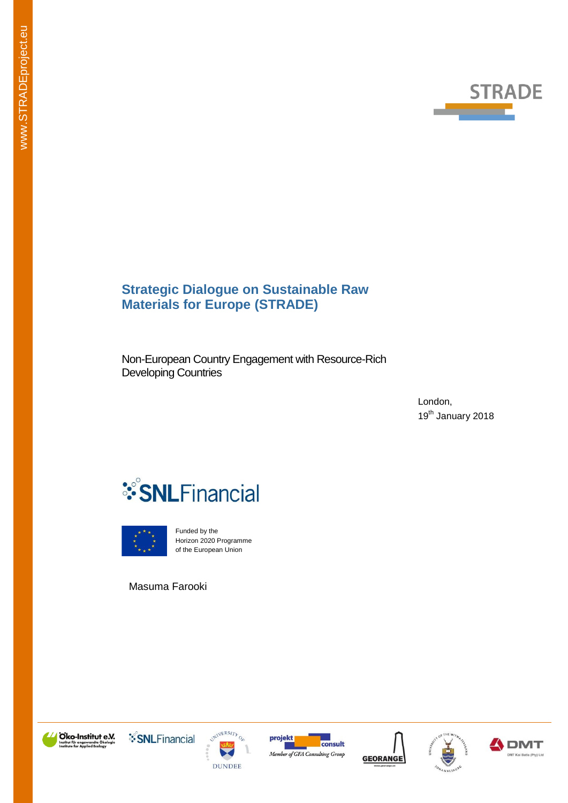

# **Strategic Dialogue on Sustainable Raw Materials for Europe (STRADE)**

Non-European Country Engagement with Resource-Rich Developing Countries

> London, 19<sup>th</sup> January 2018





Funded by the Horizon 2020 Programme of the European Union

Masuma Farooki













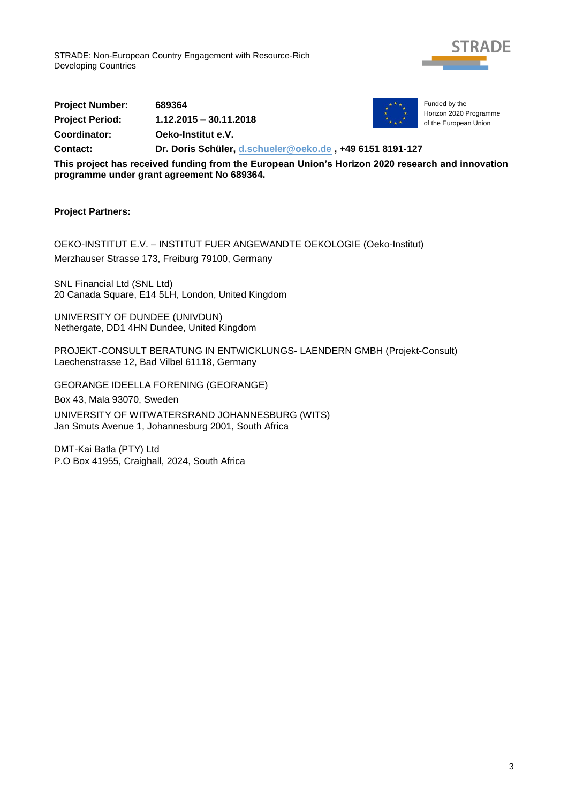

**Project Number: 689364 Project Period: 1.12.2015 – 30.11.2018 Coordinator: Oeko-Institut e.V. Contact: Dr. Doris Schüler, [d.schueler@oeko.de](mailto:d.schueler@oeko.de) , +49 6151 8191-127**



Funded by the Horizon 2020 Programme of the European Union

**This project has received funding from the European Union's Horizon 2020 research and innovation programme under grant agreement No 689364.**

### **Project Partners:**

OEKO-INSTITUT E.V. – INSTITUT FUER ANGEWANDTE OEKOLOGIE (Oeko-Institut) Merzhauser Strasse 173, Freiburg 79100, Germany

SNL Financial Ltd (SNL Ltd) 20 Canada Square, E14 5LH, London, United Kingdom

UNIVERSITY OF DUNDEE (UNIVDUN) Nethergate, DD1 4HN Dundee, United Kingdom

PROJEKT-CONSULT BERATUNG IN ENTWICKLUNGS- LAENDERN GMBH (Projekt-Consult) Laechenstrasse 12, Bad Vilbel 61118, Germany

GEORANGE IDEELLA FORENING (GEORANGE)

Box 43, Mala 93070, Sweden

UNIVERSITY OF WITWATERSRAND JOHANNESBURG (WITS) Jan Smuts Avenue 1, Johannesburg 2001, South Africa

DMT-Kai Batla (PTY) Ltd P.O Box 41955, Craighall, 2024, South Africa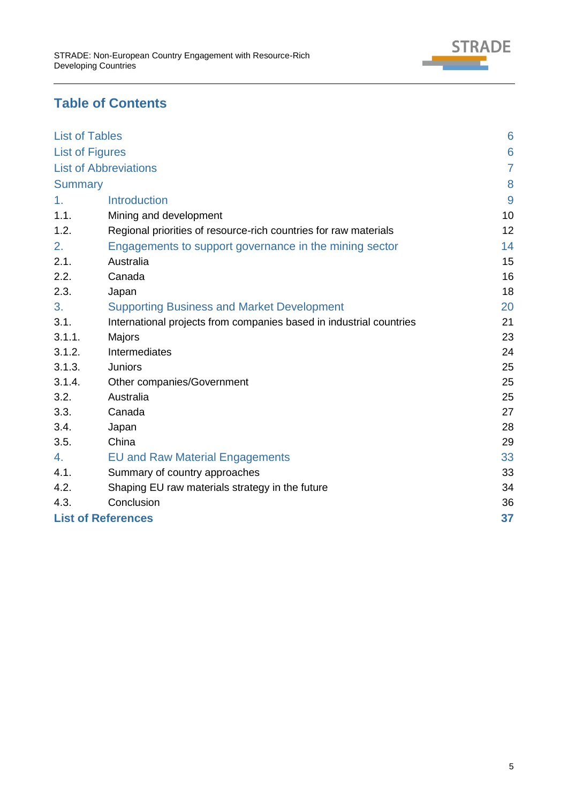

# **Table of Contents**

<span id="page-4-0"></span>

| <b>List of Tables</b>     |                                                                     | 6              |
|---------------------------|---------------------------------------------------------------------|----------------|
| <b>List of Figures</b>    |                                                                     | 6              |
|                           | <b>List of Abbreviations</b>                                        | $\overline{7}$ |
| <b>Summary</b>            |                                                                     | 8              |
| 1 <sub>1</sub>            | <b>Introduction</b>                                                 | 9              |
| 1.1.                      | Mining and development                                              | 10             |
| 1.2.                      | Regional priorities of resource-rich countries for raw materials    | 12             |
| 2.                        | Engagements to support governance in the mining sector              | 14             |
| 2.1.                      | Australia                                                           | 15             |
| 2.2.                      | Canada                                                              | 16             |
| 2.3.                      | Japan                                                               | 18             |
| 3.                        | <b>Supporting Business and Market Development</b>                   | 20             |
| 3.1.                      | International projects from companies based in industrial countries | 21             |
| 3.1.1.                    | Majors                                                              | 23             |
| 3.1.2.                    | <b>Intermediates</b>                                                | 24             |
| 3.1.3.                    | <b>Juniors</b>                                                      | 25             |
| 3.1.4.                    | Other companies/Government                                          | 25             |
| 3.2.                      | Australia                                                           | 25             |
| 3.3.                      | Canada                                                              | 27             |
| 3.4.                      | Japan                                                               | 28             |
| 3.5.                      | China                                                               | 29             |
| 4.                        | <b>EU and Raw Material Engagements</b>                              | 33             |
| 4.1.                      | Summary of country approaches                                       | 33             |
| 4.2.                      | Shaping EU raw materials strategy in the future                     | 34             |
| 4.3.                      | Conclusion                                                          | 36             |
| <b>List of References</b> |                                                                     |                |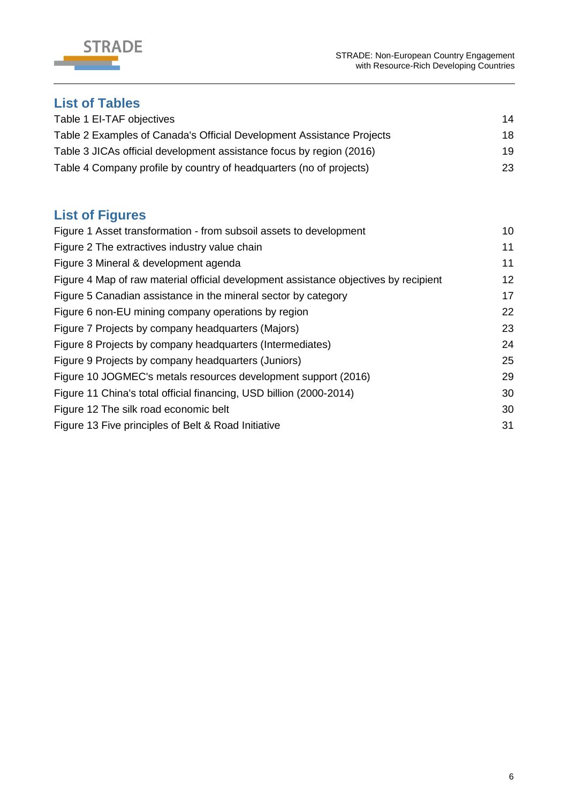



# **List of Tables**

| Table 1 EI-TAF objectives                                             | 14 |
|-----------------------------------------------------------------------|----|
| Table 2 Examples of Canada's Official Development Assistance Projects | 18 |
| Table 3 JICAs official development assistance focus by region (2016)  | 19 |
| Table 4 Company profile by country of headquarters (no of projects)   | 23 |

# <span id="page-5-0"></span>**List of Figures**

| Figure 1 Asset transformation - from subsoil assets to development                   | 10 |
|--------------------------------------------------------------------------------------|----|
| Figure 2 The extractives industry value chain                                        | 11 |
| Figure 3 Mineral & development agenda                                                | 11 |
| Figure 4 Map of raw material official development assistance objectives by recipient | 12 |
| Figure 5 Canadian assistance in the mineral sector by category                       | 17 |
| Figure 6 non-EU mining company operations by region                                  | 22 |
| Figure 7 Projects by company headquarters (Majors)                                   | 23 |
| Figure 8 Projects by company headquarters (Intermediates)                            | 24 |
| Figure 9 Projects by company headquarters (Juniors)                                  | 25 |
| Figure 10 JOGMEC's metals resources development support (2016)                       | 29 |
| Figure 11 China's total official financing, USD billion (2000-2014)                  | 30 |
| Figure 12 The silk road economic belt                                                | 30 |
| Figure 13 Five principles of Belt & Road Initiative                                  | 31 |
|                                                                                      |    |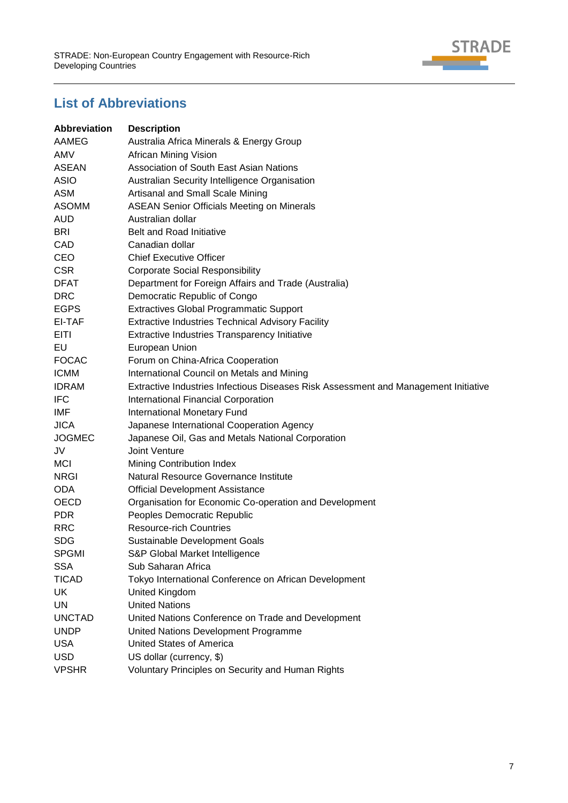

# <span id="page-6-0"></span>**List of Abbreviations**

| <b>Abbreviation</b> | <b>Description</b>                                                                  |
|---------------------|-------------------------------------------------------------------------------------|
| AAMEG               | Australia Africa Minerals & Energy Group                                            |
| AMV                 | African Mining Vision                                                               |
| ASEAN               | Association of South East Asian Nations                                             |
| <b>ASIO</b>         | Australian Security Intelligence Organisation                                       |
| <b>ASM</b>          | Artisanal and Small Scale Mining                                                    |
| <b>ASOMM</b>        | <b>ASEAN Senior Officials Meeting on Minerals</b>                                   |
| <b>AUD</b>          | Australian dollar                                                                   |
| <b>BRI</b>          | <b>Belt and Road Initiative</b>                                                     |
| CAD                 | Canadian dollar                                                                     |
| <b>CEO</b>          | <b>Chief Executive Officer</b>                                                      |
| <b>CSR</b>          | <b>Corporate Social Responsibility</b>                                              |
| <b>DFAT</b>         | Department for Foreign Affairs and Trade (Australia)                                |
| <b>DRC</b>          | Democratic Republic of Congo                                                        |
| <b>EGPS</b>         | <b>Extractives Global Programmatic Support</b>                                      |
| EI-TAF              | <b>Extractive Industries Technical Advisory Facility</b>                            |
| EITI                | Extractive Industries Transparency Initiative                                       |
| EU                  | European Union                                                                      |
| <b>FOCAC</b>        | Forum on China-Africa Cooperation                                                   |
| <b>ICMM</b>         | International Council on Metals and Mining                                          |
| <b>IDRAM</b>        | Extractive Industries Infectious Diseases Risk Assessment and Management Initiative |
| <b>IFC</b>          | International Financial Corporation                                                 |
| IMF                 | International Monetary Fund                                                         |
| <b>JICA</b>         | Japanese International Cooperation Agency                                           |
| <b>JOGMEC</b>       | Japanese Oil, Gas and Metals National Corporation                                   |
| JV                  | Joint Venture                                                                       |
| <b>MCI</b>          | Mining Contribution Index                                                           |
| <b>NRGI</b>         | Natural Resource Governance Institute                                               |
| <b>ODA</b>          | <b>Official Development Assistance</b>                                              |
| <b>OECD</b>         | Organisation for Economic Co-operation and Development                              |
| <b>PDR</b>          | Peoples Democratic Republic                                                         |
| <b>RRC</b>          | <b>Resource-rich Countries</b>                                                      |
| <b>SDG</b>          | Sustainable Development Goals                                                       |
| <b>SPGMI</b>        | S&P Global Market Intelligence                                                      |
| <b>SSA</b>          | Sub Saharan Africa                                                                  |
| <b>TICAD</b>        | Tokyo International Conference on African Development                               |
| UK                  | United Kingdom                                                                      |
| UN                  | <b>United Nations</b>                                                               |
| <b>UNCTAD</b>       | United Nations Conference on Trade and Development                                  |
| <b>UNDP</b>         | United Nations Development Programme                                                |
| <b>USA</b>          | <b>United States of America</b>                                                     |
| <b>USD</b>          | US dollar (currency, \$)                                                            |
| <b>VPSHR</b>        | Voluntary Principles on Security and Human Rights                                   |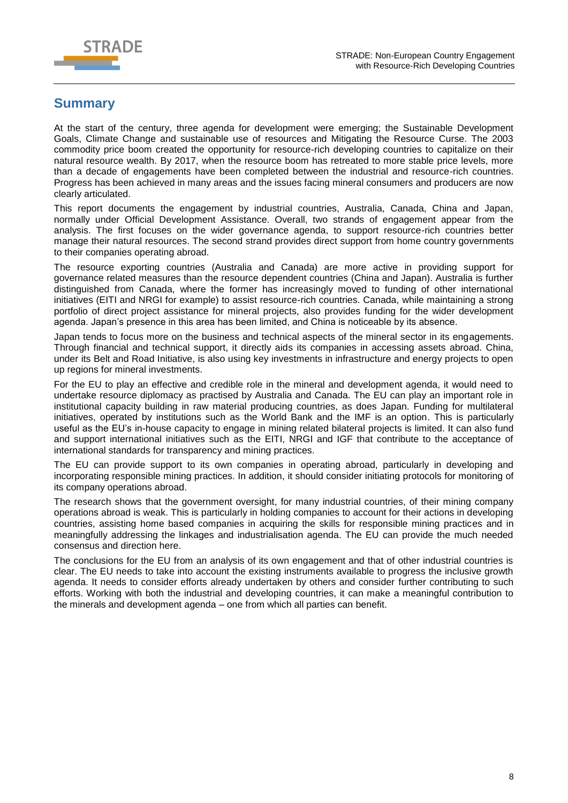

# <span id="page-7-0"></span>**Summary**

At the start of the century, three agenda for development were emerging; the Sustainable Development Goals, Climate Change and sustainable use of resources and Mitigating the Resource Curse. The 2003 commodity price boom created the opportunity for resource-rich developing countries to capitalize on their natural resource wealth. By 2017, when the resource boom has retreated to more stable price levels, more than a decade of engagements have been completed between the industrial and resource-rich countries. Progress has been achieved in many areas and the issues facing mineral consumers and producers are now clearly articulated.

This report documents the engagement by industrial countries, Australia, Canada, China and Japan, normally under Official Development Assistance. Overall, two strands of engagement appear from the analysis. The first focuses on the wider governance agenda, to support resource-rich countries better manage their natural resources. The second strand provides direct support from home country governments to their companies operating abroad.

The resource exporting countries (Australia and Canada) are more active in providing support for governance related measures than the resource dependent countries (China and Japan). Australia is further distinguished from Canada, where the former has increasingly moved to funding of other international initiatives (EITI and NRGI for example) to assist resource-rich countries. Canada, while maintaining a strong portfolio of direct project assistance for mineral projects, also provides funding for the wider development agenda. Japan's presence in this area has been limited, and China is noticeable by its absence.

Japan tends to focus more on the business and technical aspects of the mineral sector in its engagements. Through financial and technical support, it directly aids its companies in accessing assets abroad. China, under its Belt and Road Initiative, is also using key investments in infrastructure and energy projects to open up regions for mineral investments.

For the EU to play an effective and credible role in the mineral and development agenda, it would need to undertake resource diplomacy as practised by Australia and Canada. The EU can play an important role in institutional capacity building in raw material producing countries, as does Japan. Funding for multilateral initiatives, operated by institutions such as the World Bank and the IMF is an option. This is particularly useful as the EU's in-house capacity to engage in mining related bilateral projects is limited. It can also fund and support international initiatives such as the EITI, NRGI and IGF that contribute to the acceptance of international standards for transparency and mining practices.

The EU can provide support to its own companies in operating abroad, particularly in developing and incorporating responsible mining practices. In addition, it should consider initiating protocols for monitoring of its company operations abroad.

The research shows that the government oversight, for many industrial countries, of their mining company operations abroad is weak. This is particularly in holding companies to account for their actions in developing countries, assisting home based companies in acquiring the skills for responsible mining practices and in meaningfully addressing the linkages and industrialisation agenda. The EU can provide the much needed consensus and direction here.

The conclusions for the EU from an analysis of its own engagement and that of other industrial countries is clear. The EU needs to take into account the existing instruments available to progress the inclusive growth agenda. It needs to consider efforts already undertaken by others and consider further contributing to such efforts. Working with both the industrial and developing countries, it can make a meaningful contribution to the minerals and development agenda – one from which all parties can benefit.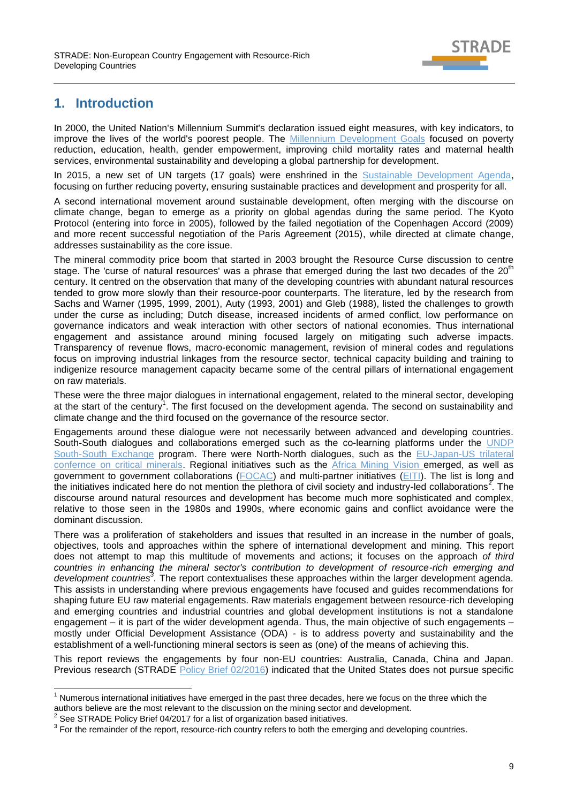

# <span id="page-8-0"></span>**1. Introduction**

In 2000, the United Nation's Millennium Summit's declaration issued eight measures, with key indicators, to improve the lives of the world's poorest people. The [Millennium Development Goals](http://www.un.org/millenniumgoals/) focused on poverty reduction, education, health, gender empowerment, improving child mortality rates and maternal health services, environmental sustainability and developing a global partnership for development.

In 2015, a new set of UN targets (17 goals) were enshrined in the [Sustainable Development Agenda,](https://sustainabledevelopment.un.org/) focusing on further reducing poverty, ensuring sustainable practices and development and prosperity for all.

A second international movement around sustainable development, often merging with the discourse on climate change, began to emerge as a priority on global agendas during the same period. The Kyoto Protocol (entering into force in 2005), followed by the failed negotiation of the Copenhagen Accord (2009) and more recent successful negotiation of the Paris Agreement (2015), while directed at climate change, addresses sustainability as the core issue.

The mineral commodity price boom that started in 2003 brought the Resource Curse discussion to centre stage. The 'curse of natural resources' was a phrase that emerged during the last two decades of the 20<sup>th</sup> century. It centred on the observation that many of the developing countries with abundant natural resources tended to grow more slowly than their resource-poor counterparts. The literature, led by the research from Sachs and Warner (1995, 1999, 2001), Auty (1993, 2001) and Gleb (1988), listed the challenges to growth under the curse as including; Dutch disease, increased incidents of armed conflict, low performance on governance indicators and weak interaction with other sectors of national economies. Thus international engagement and assistance around mining focused largely on mitigating such adverse impacts. Transparency of revenue flows, macro-economic management, revision of mineral codes and regulations focus on improving industrial linkages from the resource sector, technical capacity building and training to indigenize resource management capacity became some of the central pillars of international engagement on raw materials.

These were the three major dialogues in international engagement, related to the mineral sector, developing at the start of the century<sup>1</sup>. The first focused on the development agenda. The second on sustainability and climate change and the third focused on the governance of the resource sector.

Engagements around these dialogue were not necessarily between advanced and developing countries. South-South dialogues and collaborations emerged such as the co-learning platforms under the [UNDP](http://www.unpei.org/south-south-exchange-and-training-workshop-on-extractive-industries-and-sustainable-development)  [South-South Exchange](http://www.unpei.org/south-south-exchange-and-training-workshop-on-extractive-industries-and-sustainable-development) program. There were North-North dialogues, such as the [EU-Japan-US](https://ec.europa.eu/growth/industry/international-aspects/cooperation-governments_en) trilateral confernce on critical minerals. Regional initiatives such as the [Africa Mining Vision](file://///uk01fil511/businessshare/Dept/IRMG/M&M%20Consulting/Consulting%20Projects/EU/STRADE%202016/Project/WP3/Report%203.6%20Non%20Eu%20raw%20material%20eng%20with%20third%20countries/Africa%20Mining%20Vision) emerged, as well as government to government collaborations [\(FOCAC\)](http://www.focac.org/eng) and multi-partner initiatives [\(EITI\)](https://eiti.org/). The list is long and the initiatives indicated here do not mention the plethora of civil society and industry-led collaborations<sup>2</sup>. The discourse around natural resources and development has become much more sophisticated and complex, relative to those seen in the 1980s and 1990s, where economic gains and conflict avoidance were the dominant discussion.

There was a proliferation of stakeholders and issues that resulted in an increase in the number of goals, objectives, tools and approaches within the sphere of international development and mining. This report does not attempt to map this multitude of movements and actions; it focuses on the approach *of third countries in enhancing the mineral sector's contribution to development of resource-rich emerging and*  development countries<sup>3</sup>. The report contextualises these approaches within the larger development agenda. This assists in understanding where previous engagements have focused and guides recommendations for shaping future EU raw material engagements. Raw materials engagement between resource-rich developing and emerging countries and industrial countries and global development institutions is not a standalone engagement – it is part of the wider development agenda. Thus, the main objective of such engagements – mostly under Official Development Assistance (ODA) - is to address poverty and sustainability and the establishment of a well-functioning mineral sectors is seen as (one) of the means of achieving this.

This report reviews the engagements by four non-EU countries: Australia, Canada, China and Japan. Previous research (STRADE [Policy Brief 02/2016\)](http://stradeproject.eu/fileadmin/user_upload/pdf/PolicyBrief_02-2016_Aug2016_FINAL.pdf) indicated that the United States does not pursue specific

-

Numerous international initiatives have emerged in the past three decades, here we focus on the three which the authors believe are the most relevant to the discussion on the mining sector and development.

<sup>2</sup> See STRADE Policy Brief 04/2017 for a list of organization based initiatives.

 $3$  For the remainder of the report, resource-rich country refers to both the emerging and developing countries.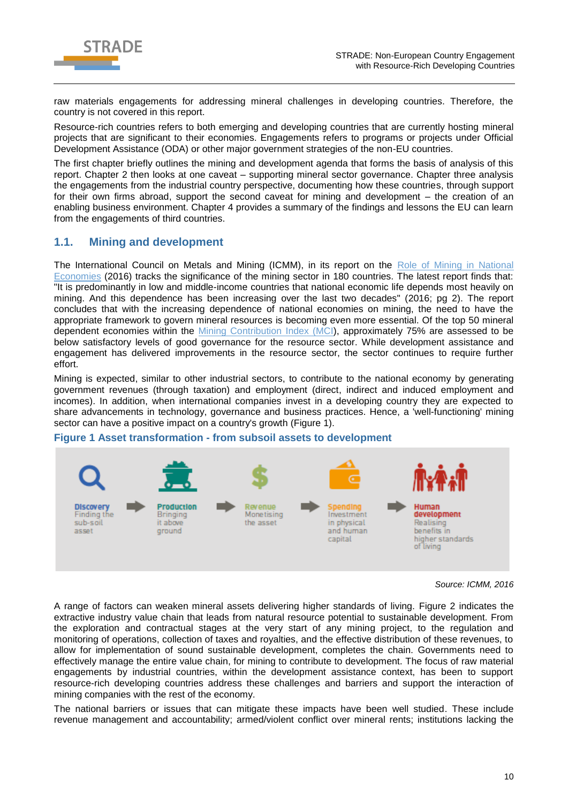

raw materials engagements for addressing mineral challenges in developing countries. Therefore, the country is not covered in this report.

Resource-rich countries refers to both emerging and developing countries that are currently hosting mineral projects that are significant to their economies. Engagements refers to programs or projects under Official Development Assistance (ODA) or other major government strategies of the non-EU countries.

The first chapter briefly outlines the mining and development agenda that forms the basis of analysis of this report. Chapter 2 then looks at one caveat – supporting mineral sector governance. Chapter three analysis the engagements from the industrial country perspective, documenting how these countries, through support for their own firms abroad, support the second caveat for mining and development – the creation of an enabling business environment. Chapter 4 provides a summary of the findings and lessons the EU can learn from the engagements of third countries.

## <span id="page-9-0"></span>**1.1. Mining and development**

The International Council on Metals and Mining (ICMM), in its report on the Role of Mining in National [Economies](https://www.icmm.com/website/publications/pdfs/society-and-the-economy/161026_icmm_romine_3rd-edition.pdf) (2016) tracks the significance of the mining sector in 180 countries. The latest report finds that: "It is predominantly in low and middle-income countries that national economic life depends most heavily on mining. And this dependence has been increasing over the last two decades" (2016; pg 2). The report concludes that with the increasing dependence of national economies on mining, the need to have the appropriate framework to govern mineral resources is becoming even more essential. Of the top 50 mineral dependent economies within the [Mining Contribution Index \(MCI\)](https://www.icmm.com/romine/index), approximately 75% are assessed to be below satisfactory levels of good governance for the resource sector. While development assistance and engagement has delivered improvements in the resource sector, the sector continues to require further effort.

Mining is expected, similar to other industrial sectors, to contribute to the national economy by generating government revenues (through taxation) and employment (direct, indirect and induced employment and incomes). In addition, when international companies invest in a developing country they are expected to share advancements in technology, governance and business practices. Hence, a 'well-functioning' mining sector can have a positive impact on a country's growth [\(Figure 1\)](#page-9-1).

### <span id="page-9-1"></span>**Figure 1 Asset transformation - from subsoil assets to development**



*Source: ICMM, 2016*

A range of factors can weaken mineral assets delivering higher standards of living. [Figure 2](#page-10-0) indicates the extractive industry value chain that leads from natural resource potential to sustainable development. From the exploration and contractual stages at the very start of any mining project, to the regulation and monitoring of operations, collection of taxes and royalties, and the effective distribution of these revenues, to allow for implementation of sound sustainable development, completes the chain. Governments need to effectively manage the entire value chain, for mining to contribute to development. The focus of raw material engagements by industrial countries, within the development assistance context, has been to support resource-rich developing countries address these challenges and barriers and support the interaction of mining companies with the rest of the economy.

The national barriers or issues that can mitigate these impacts have been well studied. These include revenue management and accountability; armed/violent conflict over mineral rents; institutions lacking the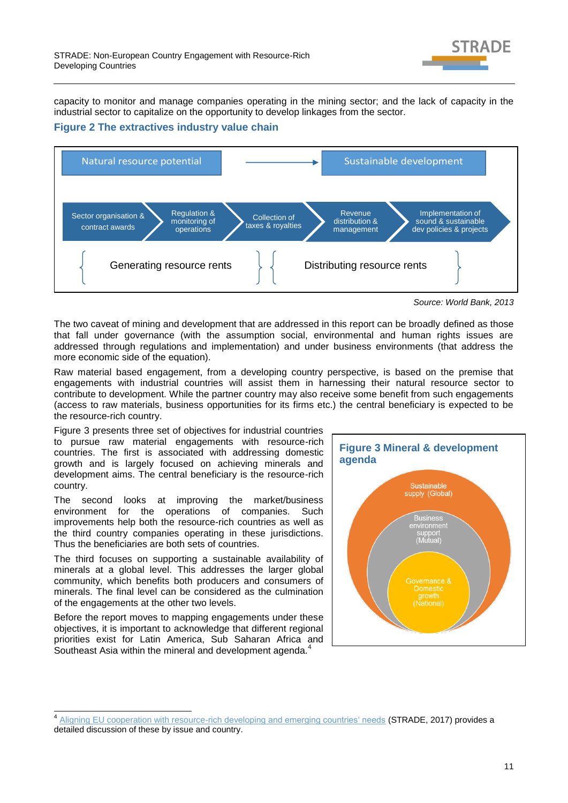

capacity to monitor and manage companies operating in the mining sector; and the lack of capacity in the industrial sector to capitalize on the opportunity to develop linkages from the sector.

### <span id="page-10-0"></span>**Figure 2 The extractives industry value chain**



*Source: World Bank, 2013*

The two caveat of mining and development that are addressed in this report can be broadly defined as those that fall under governance (with the assumption social, environmental and human rights issues are addressed through regulations and implementation) and under business environments (that address the more economic side of the equation).

Raw material based engagement, from a developing country perspective, is based on the premise that engagements with industrial countries will assist them in harnessing their natural resource sector to contribute to development. While the partner country may also receive some benefit from such engagements (access to raw materials, business opportunities for its firms etc.) the central beneficiary is expected to be the resource-rich country.

[Figure 3](#page-10-1) presents three set of objectives for industrial countries to pursue raw material engagements with resource-rich countries. The first is associated with addressing domestic growth and is largely focused on achieving minerals and development aims. The central beneficiary is the resource-rich country.

The second looks at improving the market/business environment for the operations of companies. Such improvements help both the resource-rich countries as well as the third country companies operating in these jurisdictions. Thus the beneficiaries are both sets of countries.

The third focuses on supporting a sustainable availability of minerals at a global level. This addresses the larger global community, which benefits both producers and consumers of minerals. The final level can be considered as the culmination of the engagements at the other two levels.

Before the report moves to mapping engagements under these objectives, it is important to acknowledge that different regional priorities exist for Latin America, Sub Saharan Africa and Southeast Asia within the mineral and development agenda.<sup>4</sup>

<span id="page-10-1"></span>

 4 [Aligning EU cooperation with resource-rich developing and emerging countries' needs](http://stradeproject.eu/fileadmin/user_upload/pdf/WP3_3_1-Policy-Brief-D-3-7_08-2017_v03_final_20170925.pdf) (STRADE, 2017) provides a detailed discussion of these by issue and country.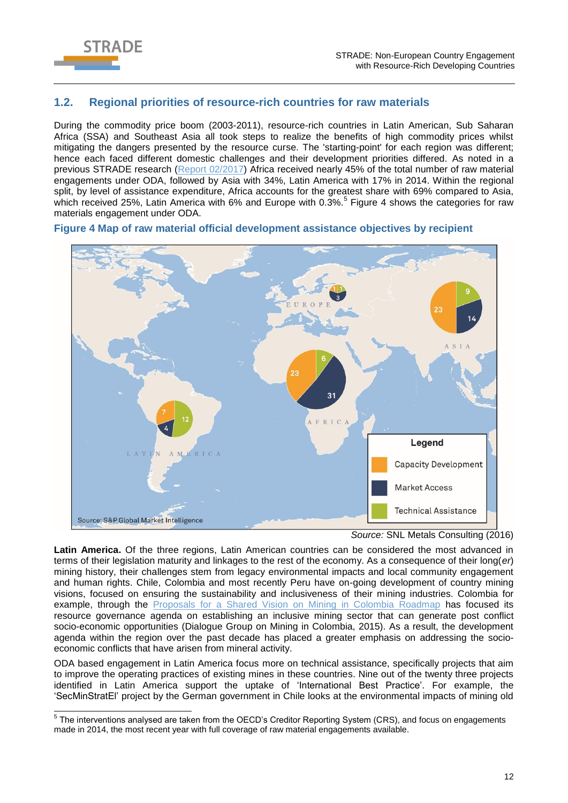

### <span id="page-11-0"></span>**1.2. Regional priorities of resource-rich countries for raw materials**

During the commodity price boom (2003-2011), resource-rich countries in Latin American, Sub Saharan Africa (SSA) and Southeast Asia all took steps to realize the benefits of high commodity prices whilst mitigating the dangers presented by the resource curse. The 'starting-point' for each region was different; hence each faced different domestic challenges and their development priorities differed. As noted in a previous STRADE research [\(Report 02/2017\)](http://stradeproject.eu/fileadmin/user_upload/pdf/STRADE_Rpt_D3-03_EU-RawMat_May2017_FINAL.pdf) Africa received nearly 45% of the total number of raw material engagements under ODA, followed by Asia with 34%, Latin America with 17% in 2014. Within the regional split, by level of assistance expenditure, Africa accounts for the greatest share with 69% compared to Asia, which received 25%, Latin America with 6% and Europe with 0.3%.<sup>5</sup> [Figure 4](#page-11-1) shows the categories for raw materials engagement under ODA.



#### <span id="page-11-1"></span>**Figure 4 Map of raw material official development assistance objectives by recipient**

*Source:* SNL Metals Consulting (2016)

**Latin America.** Of the three regions, Latin American countries can be considered the most advanced in terms of their legislation maturity and linkages to the rest of the economy. As a consequence of their long(*er*) mining history, their challenges stem from legacy environmental impacts and local community engagement and human rights. Chile, Colombia and most recently Peru have on-going development of country mining visions, focused on ensuring the sustainability and inclusiveness of their mining industries. Colombia for example, through the [Proposals for a Shared Vision on Mining in Colombia Roadmap](https://eiti.org/sites/default/files/documents/peru_mining_vision_15_july_draft.pdf) has focused its resource governance agenda on establishing an inclusive mining sector that can generate post conflict socio-economic opportunities (Dialogue Group on Mining in Colombia, 2015). As a result, the development agenda within the region over the past decade has placed a greater emphasis on addressing the socioeconomic conflicts that have arisen from mineral activity.

ODA based engagement in Latin America focus more on technical assistance, specifically projects that aim to improve the operating practices of existing mines in these countries. Nine out of the twenty three projects identified in Latin America support the uptake of 'International Best Practice'. For example, the 'SecMinStratEl' project by the German government in Chile looks at the environmental impacts of mining old

 5 The interventions analysed are taken from the OECD's Creditor Reporting System (CRS), and focus on engagements made in 2014, the most recent year with full coverage of raw material engagements available.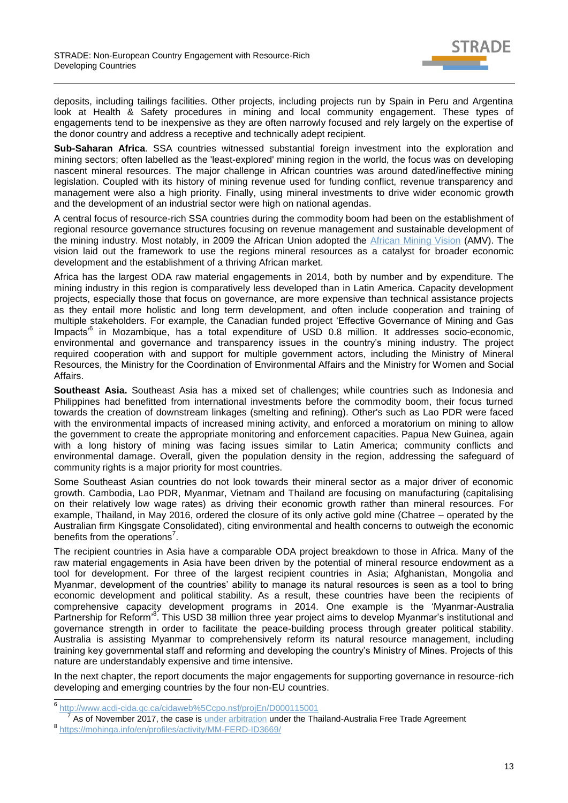

deposits, including tailings facilities. Other projects, including projects run by Spain in Peru and Argentina look at Health & Safety procedures in mining and local community engagement. These types of engagements tend to be inexpensive as they are often narrowly focused and rely largely on the expertise of the donor country and address a receptive and technically adept recipient.

**Sub-Saharan Africa**. SSA countries witnessed substantial foreign investment into the exploration and mining sectors; often labelled as the 'least-explored' mining region in the world, the focus was on developing nascent mineral resources. The major challenge in African countries was around dated/ineffective mining legislation. Coupled with its history of mining revenue used for funding conflict, revenue transparency and management were also a high priority. Finally, using mineral investments to drive wider economic growth and the development of an industrial sector were high on national agendas.

A central focus of resource-rich SSA countries during the commodity boom had been on the establishment of regional resource governance structures focusing on revenue management and sustainable development of the mining industry. Most notably, in 2009 the African Union adopted the [African Mining Vision](http://www.africaminingvision.org/) (AMV). The vision laid out the framework to use the regions mineral resources as a catalyst for broader economic development and the establishment of a thriving African market.

Africa has the largest ODA raw material engagements in 2014, both by number and by expenditure. The mining industry in this region is comparatively less developed than in Latin America. Capacity development projects, especially those that focus on governance, are more expensive than technical assistance projects as they entail more holistic and long term development, and often include cooperation and training of multiple stakeholders. For example, the Canadian funded project 'Effective Governance of Mining and Gas Impacts<sup>6</sup> in Mozambique, has a total expenditure of USD 0.8 million. It addresses socio-economic, environmental and governance and transparency issues in the country's mining industry. The project required cooperation with and support for multiple government actors, including the Ministry of Mineral Resources, the Ministry for the Coordination of Environmental Affairs and the Ministry for Women and Social Affairs.

**Southeast Asia.** Southeast Asia has a mixed set of challenges; while countries such as Indonesia and Philippines had benefitted from international investments before the commodity boom, their focus turned towards the creation of downstream linkages (smelting and refining). Other's such as Lao PDR were faced with the environmental impacts of increased mining activity, and enforced a moratorium on mining to allow the government to create the appropriate monitoring and enforcement capacities. Papua New Guinea, again with a long history of mining was facing issues similar to Latin America; community conflicts and environmental damage. Overall, given the population density in the region, addressing the safeguard of community rights is a major priority for most countries.

Some Southeast Asian countries do not look towards their mineral sector as a major driver of economic growth. Cambodia, Lao PDR, Myanmar, Vietnam and Thailand are focusing on manufacturing (capitalising on their relatively low wage rates) as driving their economic growth rather than mineral resources. For example, Thailand, in May 2016, ordered the closure of its only active gold mine (Chatree – operated by the Australian firm Kingsgate Consolidated), citing environmental and health concerns to outweigh the economic benefits from the operations<sup>7</sup>.

The recipient countries in Asia have a comparable ODA project breakdown to those in Africa. Many of the raw material engagements in Asia have been driven by the potential of mineral resource endowment as a tool for development. For three of the largest recipient countries in Asia; Afghanistan, Mongolia and Myanmar, development of the countries' ability to manage its natural resources is seen as a tool to bring economic development and political stability. As a result, these countries have been the recipients of comprehensive capacity development programs in 2014. One example is the 'Myanmar-Australia Partnership for Reform<sup>,8</sup>. This USD 38 million three year project aims to develop Myanmar's institutional and governance strength in order to facilitate the peace-building process through greater political stability. Australia is assisting Myanmar to comprehensively reform its natural resource management, including training key governmental staff and reforming and developing the country's Ministry of Mines. Projects of this nature are understandably expensive and time intensive.

In the next chapter, the report documents the major engagements for supporting governance in resource-rich developing and emerging countries by the four non-EU countries.

<sup>&</sup>lt;sup>6</sup> <http://www.acdi-cida.gc.ca/cidaweb%5Ccpo.nsf/projEn/D000115001>

As of November 2017, the case is [under arbitration](http://www.mining.com/thailand-faces-arbitration-decision-shut-active-gold-mine/) under the Thailand-Australia Free Trade Agreement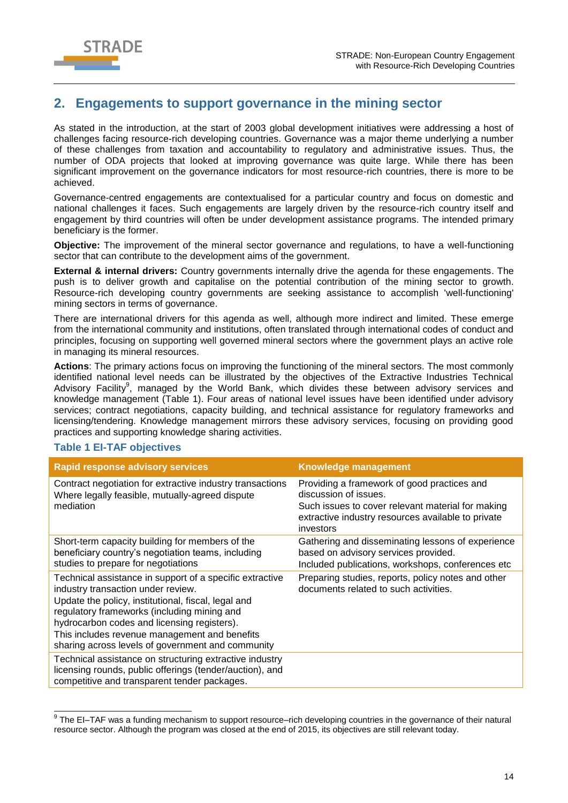

# <span id="page-13-0"></span>**2. Engagements to support governance in the mining sector**

As stated in the introduction, at the start of 2003 global development initiatives were addressing a host of challenges facing resource-rich developing countries. Governance was a major theme underlying a number of these challenges from taxation and accountability to regulatory and administrative issues. Thus, the number of ODA projects that looked at improving governance was quite large. While there has been significant improvement on the governance indicators for most resource-rich countries, there is more to be achieved.

Governance-centred engagements are contextualised for a particular country and focus on domestic and national challenges it faces. Such engagements are largely driven by the resource-rich country itself and engagement by third countries will often be under development assistance programs. The intended primary beneficiary is the former.

**Objective:** The improvement of the mineral sector governance and regulations, to have a well-functioning sector that can contribute to the development aims of the government.

**External & internal drivers:** Country governments internally drive the agenda for these engagements. The push is to deliver growth and capitalise on the potential contribution of the mining sector to growth. Resource-rich developing country governments are seeking assistance to accomplish 'well-functioning' mining sectors in terms of governance.

There are international drivers for this agenda as well, although more indirect and limited. These emerge from the international community and institutions, often translated through international codes of conduct and principles, focusing on supporting well governed mineral sectors where the government plays an active role in managing its mineral resources.

**Actions**: The primary actions focus on improving the functioning of the mineral sectors. The most commonly identified national level needs can be illustrated by the objectives of the Extractive Industries Technical Advisory Facility<sup>9</sup>, managed by the World Bank, which divides these between advisory services and knowledge management [\(Table 1\)](#page-13-1). Four areas of national level issues have been identified under advisory services; contract negotiations, capacity building, and technical assistance for regulatory frameworks and licensing/tendering. Knowledge management mirrors these advisory services, focusing on providing good practices and supporting knowledge sharing activities.

| <b>Rapid response advisory services</b>                                                                                                                                                                                                                                                                                                                   | <b>Knowledge management</b>                                                                                                                                                                  |
|-----------------------------------------------------------------------------------------------------------------------------------------------------------------------------------------------------------------------------------------------------------------------------------------------------------------------------------------------------------|----------------------------------------------------------------------------------------------------------------------------------------------------------------------------------------------|
| Contract negotiation for extractive industry transactions<br>Where legally feasible, mutually-agreed dispute<br>mediation                                                                                                                                                                                                                                 | Providing a framework of good practices and<br>discussion of issues.<br>Such issues to cover relevant material for making<br>extractive industry resources available to private<br>investors |
| Short-term capacity building for members of the<br>beneficiary country's negotiation teams, including<br>studies to prepare for negotiations                                                                                                                                                                                                              | Gathering and disseminating lessons of experience<br>based on advisory services provided.<br>Included publications, workshops, conferences etc.                                              |
| Technical assistance in support of a specific extractive<br>industry transaction under review.<br>Update the policy, institutional, fiscal, legal and<br>regulatory frameworks (including mining and<br>hydrocarbon codes and licensing registers).<br>This includes revenue management and benefits<br>sharing across levels of government and community | Preparing studies, reports, policy notes and other<br>documents related to such activities.                                                                                                  |
| Technical assistance on structuring extractive industry<br>licensing rounds, public offerings (tender/auction), and<br>competitive and transparent tender packages.                                                                                                                                                                                       |                                                                                                                                                                                              |

### <span id="page-13-1"></span>**Table 1 EI-TAF objectives**

 9 The EI–TAF was a funding mechanism to support resource–rich developing countries in the governance of their natural resource sector. Although the program was closed at the end of 2015, its objectives are still relevant today.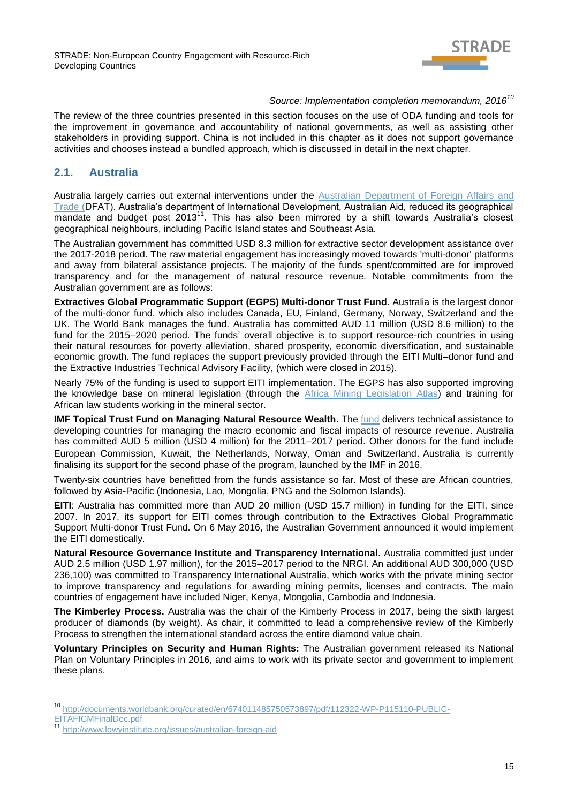

### *Source: Implementation completion memorandum, 2016<sup>10</sup>*

The review of the three countries presented in this section focuses on the use of ODA funding and tools for the improvement in governance and accountability of national governments, as well as assisting other stakeholders in providing support. China is not included in this chapter as it does not support governance activities and chooses instead a bundled approach, which is discussed in detail in the next chapter.

### <span id="page-14-0"></span>**2.1. Australia**

Australia largely carries out external interventions under the Australian Department of Foreign Affairs and [Trade \(D](http://dfat.gov.au/pages/default.aspx)FAT). Australia's department of International Development, Australian Aid, reduced its geographical mandate and budget post 2013<sup>11</sup>. This has also been mirrored by a shift towards Australia's closest geographical neighbours, including Pacific Island states and Southeast Asia.

The Australian government has committed USD 8.3 million for extractive sector development assistance over the 2017-2018 period. The raw material engagement has increasingly moved towards 'multi-donor' platforms and away from bilateral assistance projects. The majority of the funds spent/committed are for improved transparency and for the management of natural resource revenue. Notable commitments from the Australian government are as follows:

**Extractives Global Programmatic Support (EGPS) Multi-donor Trust Fund.** Australia is the largest donor of the multi-donor fund, which also includes Canada, EU, Finland, Germany, Norway, Switzerland and the UK. The World Bank manages the fund. Australia has committed AUD 11 million (USD 8.6 million) to the fund for the 2015–2020 period. The funds' overall objective is to support resource-rich countries in using their natural resources for poverty alleviation, shared prosperity, economic diversification, and sustainable economic growth. The fund replaces the support previously provided through the EITI Multi–donor fund and the Extractive Industries Technical Advisory Facility, (which were closed in 2015).

Nearly 75% of the funding is used to support EITI implementation. The EGPS has also supported improving the knowledge base on mineral legislation (through the [Africa Mining Legislation Atlas\)](https://www.a-mla.org/) and training for African law students working in the mineral sector.

**IMF Topical Trust Fund on Managing Natural Resource Wealth.** The *fund delivers technical assistance to* developing countries for managing the macro economic and fiscal impacts of resource revenue. Australia has committed AUD 5 million (USD 4 million) for the 2011–2017 period. Other donors for the fund include European Commission, Kuwait, the Netherlands, Norway, Oman and Switzerland. Australia is currently finalising its support for the second phase of the program, launched by the IMF in 2016.

Twenty-six countries have benefitted from the funds assistance so far. Most of these are African countries, followed by Asia-Pacific (Indonesia, Lao, Mongolia, PNG and the Solomon Islands).

**EITI:** Australia has committed more than AUD 20 million (USD 15.7 million) in funding for the EITI, since 2007. In 2017, its support for EITI comes through contribution to the Extractives Global Programmatic Support Multi-donor Trust Fund. On 6 May 2016, the Australian Government announced it would implement the EITI domestically.

**Natural Resource Governance Institute and Transparency International.** Australia committed just under AUD 2.5 million (USD 1.97 million), for the 2015–2017 period to the NRGI. An additional AUD 300,000 (USD 236,100) was committed to Transparency International Australia, which works with the private mining sector to improve transparency and regulations for awarding mining permits, licenses and contracts. The main countries of engagement have included Niger, Kenya, Mongolia, Cambodia and Indonesia.

**The Kimberley Process.** Australia was the chair of the Kimberly Process in 2017, being the sixth largest producer of diamonds (by weight). As chair, it committed to lead a comprehensive review of the Kimberly Process to strengthen the international standard across the entire diamond value chain.

**Voluntary Principles on Security and Human Rights:** The Australian government released its National Plan on Voluntary Principles in 2016, and aims to work with its private sector and government to implement these plans.

 $\overline{\phantom{a}}$ 

<sup>10</sup> [http://documents.worldbank.org/curated/en/674011485750573897/pdf/112322-WP-P115110-PUBLIC-](http://documents.worldbank.org/curated/en/674011485750573897/pdf/112322-WP-P115110-PUBLIC-EITAFICMFinalDec.pdf)[EITAFICMFinalDec.pdf](http://documents.worldbank.org/curated/en/674011485750573897/pdf/112322-WP-P115110-PUBLIC-EITAFICMFinalDec.pdf)

<http://www.lowyinstitute.org/issues/australian-foreign-aid>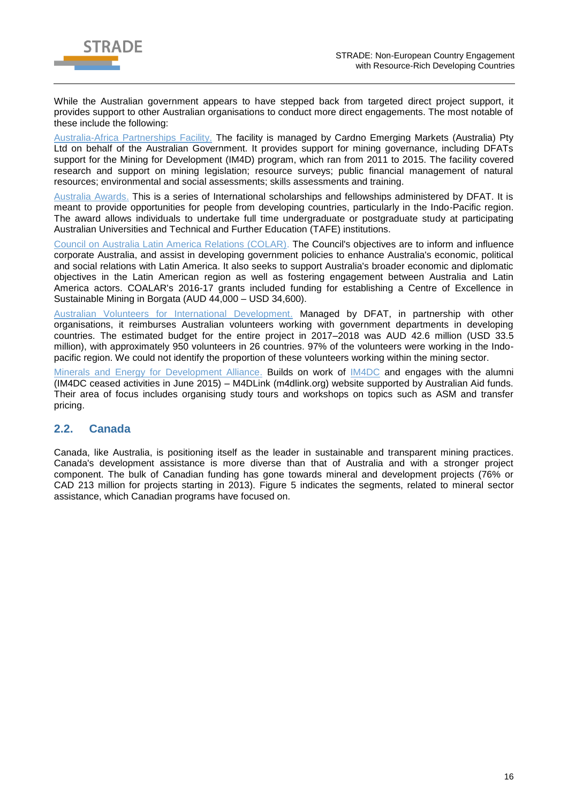

While the Australian government appears to have stepped back from targeted direct project support, it provides support to other Australian organisations to conduct more direct engagements. The most notable of these include the following:

[Australia-Africa Partnerships Facility.](http://www.aa-partnerships.org/) The facility is managed by Cardno Emerging Markets (Australia) Pty Ltd on behalf of the Australian Government. It provides support for mining governance, including DFATs support for the Mining for Development (IM4D) program, which ran from 2011 to 2015. The facility covered research and support on mining legislation; resource surveys; public financial management of natural resources; environmental and social assessments; skills assessments and training.

[Australia Awards.](http://dfat.gov.au/about-us/publications/Pages/australia-awards-statistical-profile.aspx) This is a series of International scholarships and fellowships administered by DFAT. It is meant to provide opportunities for people from developing countries, particularly in the Indo-Pacific region. The award allows individuals to undertake full time undergraduate or postgraduate study at participating Australian Universities and Technical and Further Education (TAFE) institutions.

[Council on Australia Latin America Relations \(COLAR\).](http://dfat.gov.au/people-to-people/foundations-councils-institutes/coalar/Pages/council-for-australia-latin-america-relations-coalar.aspx) The Council's objectives are to inform and influence corporate Australia, and assist in developing government policies to enhance Australia's economic, political and social relations with Latin America. It also seeks to support Australia's broader economic and diplomatic objectives in the Latin American region as well as fostering engagement between Australia and Latin America actors. COALAR's 2016-17 grants included funding for establishing a Centre of Excellence in Sustainable Mining in Borgata (AUD 44,000 – USD 34,600).

[Australian Volunteers for International Development.](http://dfat.gov.au/people-to-people/avid/pages/avid.aspx) Managed by DFAT, in partnership with other organisations, it reimburses Australian volunteers working with government departments in developing countries. The estimated budget for the entire project in 2017–2018 was AUD 42.6 million (USD 33.5 million), with approximately 950 volunteers in 26 countries. 97% of the volunteers were working in the Indopacific region. We could not identify the proportion of these volunteers working within the mining sector.

[Minerals and Energy for Development Alliance.](http://mefda.org.au/) Builds on work of [IM4DC](http://im4dc.org/) and engages with the alumni (IM4DC ceased activities in June 2015) – M4DLink (m4dlink.org) website supported by Australian Aid funds. Their area of focus includes organising study tours and workshops on topics such as ASM and transfer pricing.

## <span id="page-15-0"></span>**2.2. Canada**

Canada, like Australia, is positioning itself as the leader in sustainable and transparent mining practices. Canada's development assistance is more diverse than that of Australia and with a stronger project component. The bulk of Canadian funding has gone towards mineral and development projects (76% or CAD 213 million for projects starting in 2013). [Figure 5](#page-16-0) indicates the segments, related to mineral sector assistance, which Canadian programs have focused on.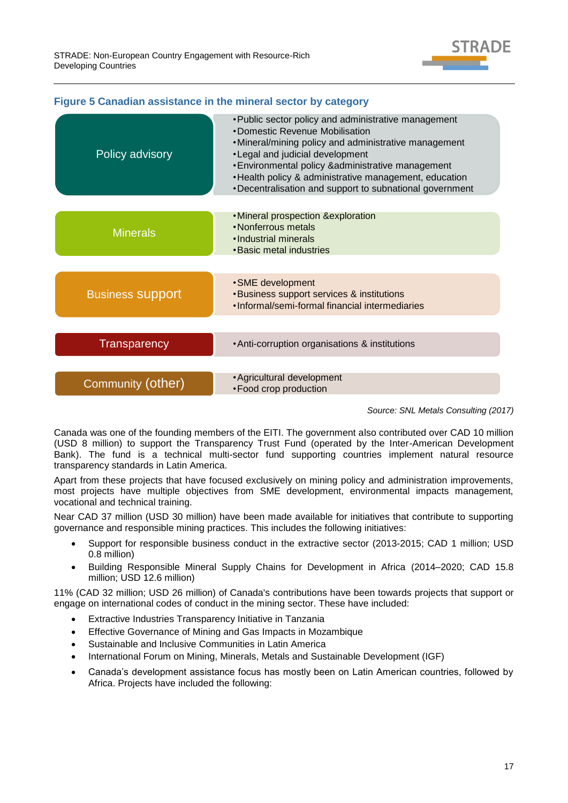

| Policy advisory         | • Public sector policy and administrative management<br>•Domestic Revenue Mobilisation<br>• Mineral/mining policy and administrative management<br>• Legal and judicial development<br>• Environmental policy & administrative management<br>• Health policy & administrative management, education<br>• Decentralisation and support to subnational government |
|-------------------------|-----------------------------------------------------------------------------------------------------------------------------------------------------------------------------------------------------------------------------------------------------------------------------------------------------------------------------------------------------------------|
| <b>Minerals</b>         | • Mineral prospection & exploration<br>•Nonferrous metals<br>•Industrial minerals<br>• Basic metal industries                                                                                                                                                                                                                                                   |
| <b>Business Support</b> | • SME development<br><b>.</b> Business support services & institutions<br>•Informal/semi-formal financial intermediaries                                                                                                                                                                                                                                        |
| <b>Transparency</b>     | • Anti-corruption organisations & institutions                                                                                                                                                                                                                                                                                                                  |
| Community (other)       | • Agricultural development<br>• Food crop production                                                                                                                                                                                                                                                                                                            |

### <span id="page-16-0"></span>**Figure 5 Canadian assistance in the mineral sector by category**

*Source: SNL Metals Consulting (2017)*

Canada was one of the founding members of the EITI. The government also contributed over CAD 10 million (USD 8 million) to support the Transparency Trust Fund (operated by the Inter-American Development Bank). The fund is a technical multi-sector fund supporting countries implement natural resource transparency standards in Latin America.

Apart from these projects that have focused exclusively on mining policy and administration improvements, most projects have multiple objectives from SME development, environmental impacts management, vocational and technical training.

Near CAD 37 million (USD 30 million) have been made available for initiatives that contribute to supporting governance and responsible mining practices. This includes the following initiatives:

- Support for responsible business conduct in the extractive sector (2013-2015; CAD 1 million; USD 0.8 million)
- Building Responsible Mineral Supply Chains for Development in Africa (2014–2020; CAD 15.8 million; USD 12.6 million)

11% (CAD 32 million; USD 26 million) of Canada's contributions have been towards projects that support or engage on international codes of conduct in the mining sector. These have included:

- Extractive Industries Transparency Initiative in Tanzania
- Effective Governance of Mining and Gas Impacts in Mozambique
- Sustainable and Inclusive Communities in Latin America
- International Forum on Mining, Minerals, Metals and Sustainable Development (IGF)
- Canada's development assistance focus has mostly been on Latin American countries, followed by Africa. Projects have included the following: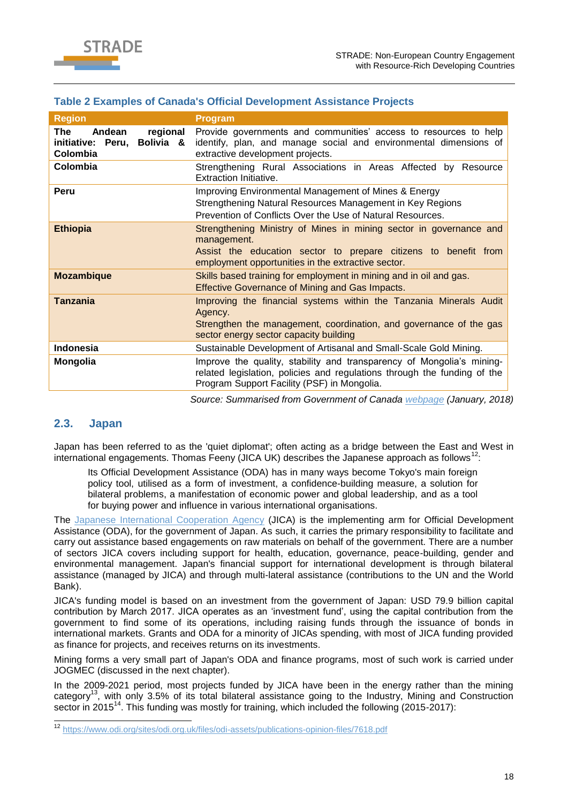

### **Table 2 Examples of Canada's Official Development Assistance Projects**

| <b>Region</b>                                                           | <b>Program</b>                                                                                                                                                                                             |
|-------------------------------------------------------------------------|------------------------------------------------------------------------------------------------------------------------------------------------------------------------------------------------------------|
| Andean<br>regional<br>The<br>Bolivia &<br>initiative: Peru,<br>Colombia | Provide governments and communities' access to resources to help<br>identify, plan, and manage social and environmental dimensions of<br>extractive development projects.                                  |
| Colombia                                                                | Strengthening Rural Associations in Areas Affected by Resource<br>Extraction Initiative.                                                                                                                   |
| Peru                                                                    | Improving Environmental Management of Mines & Energy<br>Strengthening Natural Resources Management in Key Regions<br>Prevention of Conflicts Over the Use of Natural Resources.                            |
| <b>Ethiopia</b>                                                         | Strengthening Ministry of Mines in mining sector in governance and<br>management.<br>Assist the education sector to prepare citizens to benefit from<br>employment opportunities in the extractive sector. |
| <b>Mozambique</b>                                                       | Skills based training for employment in mining and in oil and gas.<br><b>Effective Governance of Mining and Gas Impacts.</b>                                                                               |
| <b>Tanzania</b>                                                         | Improving the financial systems within the Tanzania Minerals Audit<br>Agency.<br>Strengthen the management, coordination, and governance of the gas<br>sector energy sector capacity building              |
| <b>Indonesia</b>                                                        | Sustainable Development of Artisanal and Small-Scale Gold Mining.                                                                                                                                          |
| <b>Mongolia</b>                                                         | Improve the quality, stability and transparency of Mongolia's mining-<br>related legislation, policies and regulations through the funding of the<br>Program Support Facility (PSF) in Mongolia.           |

*Source: Summarised from Government of Canada [webpage](http://international.gc.ca/world-monde/issues_development-enjeux_developpement/human_rights-droits_homme/natural_resource-ressources_naturelles.aspx?lang=eng&_ga=2.54600297.354158915.1515767426-1541115075.1515767426) (January, 2018)*

### <span id="page-17-0"></span>**2.3. Japan**

Japan has been referred to as the 'quiet diplomat'; often acting as a bridge between the East and West in international engagements. Thomas Feeny (JICA UK) describes the Japanese approach as follows<sup>12</sup>:

Its Official Development Assistance (ODA) has in many ways become Tokyo's main foreign policy tool, utilised as a form of investment, a confidence-building measure, a solution for bilateral problems, a manifestation of economic power and global leadership, and as a tool for buying power and influence in various international organisations.

The [Japanese International Cooperation Agency](https://www.jica.go.jp/english/our_work/types_of_assistance/tech/acceptance/training/about/sector/c8h0vm0000b3nqzb-att/174_1784606_e.pdf) (JICA) is the implementing arm for Official Development Assistance (ODA), for the government of Japan. As such, it carries the primary responsibility to facilitate and carry out assistance based engagements on raw materials on behalf of the government. There are a number of sectors JICA covers including support for health, education, governance, peace-building, gender and environmental management. Japan's financial support for international development is through bilateral assistance (managed by JICA) and through multi-lateral assistance (contributions to the UN and the World Bank).

JICA's funding model is based on an investment from the government of Japan: USD 79.9 billion capital contribution by March 2017. JICA operates as an 'investment fund', using the capital contribution from the government to find some of its operations, including raising funds through the issuance of bonds in international markets. Grants and ODA for a minority of JICAs spending, with most of JICA funding provided as finance for projects, and receives returns on its investments.

Mining forms a very small part of Japan's ODA and finance programs, most of such work is carried under JOGMEC (discussed in the next chapter).

In the 2009-2021 period, most projects funded by JICA have been in the energy rather than the mining category<sup>13</sup>, with only 3.5% of its total bilateral assistance going to the Industry, Mining and Construction sector in 2015<sup>14</sup>. This funding was mostly for training, which included the following (2015-2017):

 $12$ <sup>12</sup> <https://www.odi.org/sites/odi.org.uk/files/odi-assets/publications-opinion-files/7618.pdf>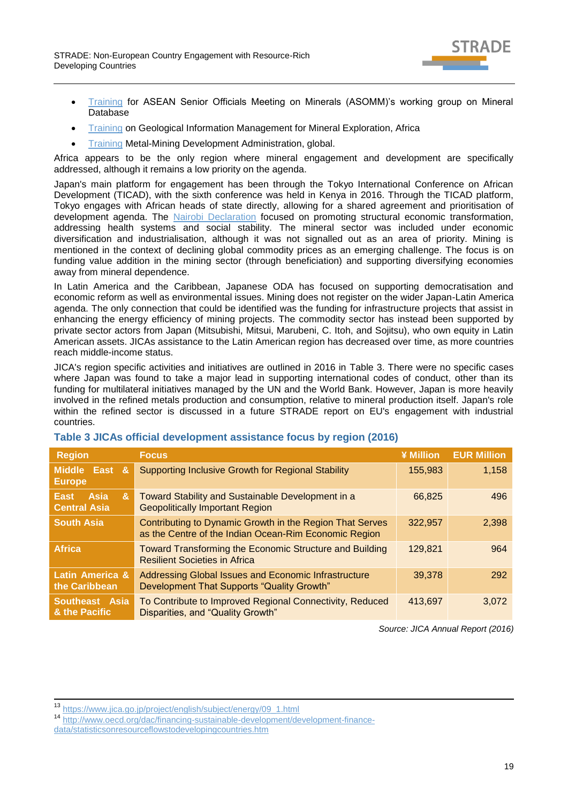

- [Training](https://www.jica.go.jp/english/our_work/types_of_assistance/tech/acceptance/training/about/sector/c8h0vm0000b3nqzb-att/174_1784606_e.pdf) for ASEAN Senior Officials Meeting on Minerals (ASOMM)'s working group on Mineral Database
- [Training](https://www.jica.go.jp/english/our_work/types_of_assistance/tech/acceptance/training/about/sector/c8h0vm0000b3nqzb-att/176_1784608_e.pdf) on Geological Information Management for Mineral Exploration, Africa
- [Training](https://www.jica.go.jp/english/our_work/types_of_assistance/tech/acceptance/training/about/sector/c8h0vm0000b3nqzb-att/175_1784607_e.pdf) Metal-Mining Development Administration, global.

Africa appears to be the only region where mineral engagement and development are specifically addressed, although it remains a low priority on the agenda.

Japan's main platform for engagement has been through the Tokyo International Conference on African Development (TICAD), with the sixth conference was held in Kenya in 2016. Through the TICAD platform, Tokyo engages with African heads of state directly, allowing for a shared agreement and prioritisation of development agenda. The [Nairobi Declaration](file:///C:/Users/masumaf/Desktop/Nairobi%20Declaration) focused on promoting structural economic transformation, addressing health systems and social stability. The mineral sector was included under economic diversification and industrialisation, although it was not signalled out as an area of priority. Mining is mentioned in the context of declining global commodity prices as an emerging challenge. The focus is on funding value addition in the mining sector (through beneficiation) and supporting diversifying economies away from mineral dependence.

In Latin America and the Caribbean, Japanese ODA has focused on supporting democratisation and economic reform as well as environmental issues. Mining does not register on the wider Japan-Latin America agenda. The only connection that could be identified was the funding for infrastructure projects that assist in enhancing the energy efficiency of mining projects. The commodity sector has instead been supported by private sector actors from Japan (Mitsubishi, Mitsui, Marubeni, C. Itoh, and Sojitsu), who own equity in Latin American assets. JICAs assistance to the Latin American region has decreased over time, as more countries reach middle-income status.

JICA's region specific activities and initiatives are outlined in 2016 in [Table 3.](#page-18-0) There were no specific cases where Japan was found to take a major lead in supporting international codes of conduct, other than its funding for multilateral initiatives managed by the UN and the World Bank. However, Japan is more heavily involved in the refined metals production and consumption, relative to mineral production itself. Japan's role within the refined sector is discussed in a future STRADE report on EU's engagement with industrial countries.

| <b>Region</b>                                          | <b>Focus</b>                                                                                                      | ¥ Million | <b>EUR Million</b> |
|--------------------------------------------------------|-------------------------------------------------------------------------------------------------------------------|-----------|--------------------|
| <b>Middle</b><br>East<br>$\mathbf{g}$<br><b>Europe</b> | <b>Supporting Inclusive Growth for Regional Stability</b>                                                         | 155,983   | 1,158              |
| &<br>Asia<br>East<br><b>Central Asia</b>               | Toward Stability and Sustainable Development in a<br><b>Geopolitically Important Region</b>                       | 66.825    | 496                |
| <b>South Asia</b>                                      | Contributing to Dynamic Growth in the Region That Serves<br>as the Centre of the Indian Ocean-Rim Economic Region | 322,957   | 2,398              |
| <b>Africa</b>                                          | <b>Toward Transforming the Economic Structure and Building</b><br><b>Resilient Societies in Africa</b>            | 129.821   | 964                |
| Latin America &<br>the Caribbean                       | Addressing Global Issues and Economic Infrastructure<br>Development That Supports "Quality Growth"                | 39,378    | 292                |
| Southeast Asia<br>& the Pacific                        | To Contribute to Improved Regional Connectivity, Reduced<br>Disparities, and "Quality Growth"                     | 413.697   | 3,072              |

### <span id="page-18-0"></span>**Table 3 JICAs official development assistance focus by region (2016)**

*Source: JICA Annual Report (2016)*

<sup>13</sup> [https://www.jica.go.jp/project/english/subject/energy/09\\_1.html](https://www.jica.go.jp/project/english/subject/energy/09_1.html)

-

<sup>14</sup> [http://www.oecd.org/dac/financing-sustainable-development/development-finance-](http://www.oecd.org/dac/financing-sustainable-development/development-finance-data/statisticsonresourceflowstodevelopingcountries.htm)

[data/statisticsonresourceflowstodevelopingcountries.htm](http://www.oecd.org/dac/financing-sustainable-development/development-finance-data/statisticsonresourceflowstodevelopingcountries.htm)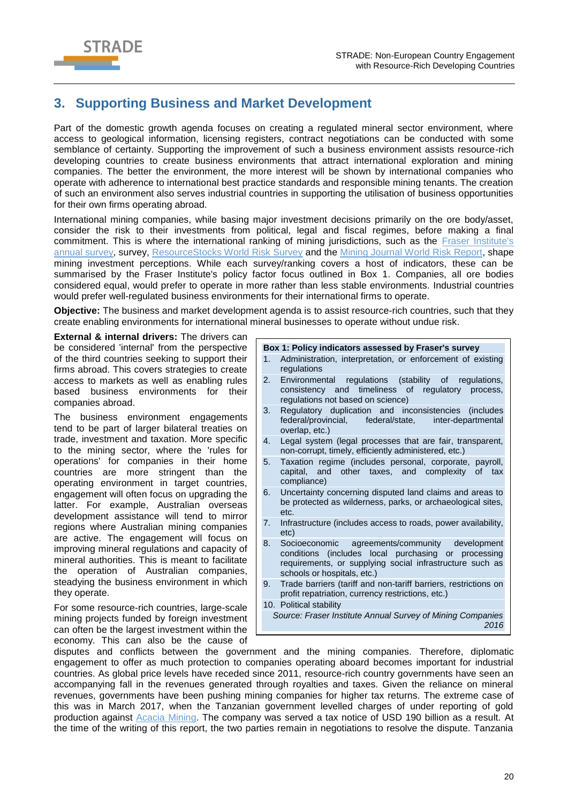

# <span id="page-19-0"></span>**3. Supporting Business and Market Development**

Part of the domestic growth agenda focuses on creating a regulated mineral sector environment, where access to geological information, licensing registers, contract negotiations can be conducted with some semblance of certainty. Supporting the improvement of such a business environment assists resource-rich developing countries to create business environments that attract international exploration and mining companies. The better the environment, the more interest will be shown by international companies who operate with adherence to international best practice standards and responsible mining tenants. The creation of such an environment also serves industrial countries in supporting the utilisation of business opportunities for their own firms operating abroad.

International mining companies, while basing major investment decisions primarily on the ore body/asset, consider the risk to their investments from political, legal and fiscal regimes, before making a final commitment. This is where the international ranking of mining jurisdictions, such as the [Fraser Institute's](https://www.fraserinstitute.org/studies/annual-survey-of-mining-companies-2016)  [annual survey,](https://www.fraserinstitute.org/studies/annual-survey-of-mining-companies-2016) survey, [ResourceStocks World Risk Survey](http://www.miningnews.net/resource-stocks/current-issue/resourcestocks-2015-world-risk-survey/) and the [Mining Journal World Risk Report,](http://www.mining-journal.com/mining-journal-world-risk-report-2017/) shape mining investment perceptions. While each survey/ranking covers a host of indicators, these can be summarised by the Fraser Institute's policy factor focus outlined in Box 1. Companies, all ore bodies considered equal, would prefer to operate in more rather than less stable environments. Industrial countries would prefer well-regulated business environments for their international firms to operate.

**Objective:** The business and market development agenda is to assist resource-rich countries, such that they create enabling environments for international mineral businesses to operate without undue risk.

**External & internal drivers:** The drivers can be considered 'internal' from the perspective of the third countries seeking to support their firms abroad. This covers strategies to create access to markets as well as enabling rules based business environments for their companies abroad.

The business environment engagements tend to be part of larger bilateral treaties on trade, investment and taxation. More specific to the mining sector, where the 'rules for operations' for companies in their home countries are more stringent than the operating environment in target countries, engagement will often focus on upgrading the latter. For example, Australian overseas development assistance will tend to mirror regions where Australian mining companies are active. The engagement will focus on improving mineral regulations and capacity of mineral authorities. This is meant to facilitate the operation of Australian companies, steadying the business environment in which they operate.

For some resource-rich countries, large-scale mining projects funded by foreign investment can often be the largest investment within the economy. This can also be the cause of

- **Box 1: Policy indicators assessed by Fraser's survey**
- 1. Administration, interpretation, or enforcement of existing regulations
- 2. Environmental regulations (stability of regulations, consistency and timeliness of regulatory process, regulations not based on science)
- 3. Regulatory duplication and inconsistencies (includes federal/provincial, federal/state, inter-departmental overlap, etc.)
- 4. Legal system (legal processes that are fair, transparent, non-corrupt, timely, efficiently administered, etc.)
- 5. Taxation regime (includes personal, corporate, payroll, capital, and other taxes, and complexity of tax compliance)
- 6. Uncertainty concerning disputed land claims and areas to be protected as wilderness, parks, or archaeological sites, etc.
- 7. Infrastructure (includes access to roads, power availability, etc)
- 8. Socioeconomic agreements/community development conditions (includes local purchasing or processing requirements, or supplying social infrastructure such as schools or hospitals, etc.)
- 9. Trade barriers (tariff and non-tariff barriers, restrictions on profit repatriation, currency restrictions, etc.)

10. Political stability *Source: Fraser Institute Annual Survey of Mining Companies 2016*

disputes and conflicts between the government and the mining companies. Therefore, diplomatic engagement to offer as much protection to companies operating aboard becomes important for industrial countries. As global price levels have receded since 2011, resource-rich country governments have seen an accompanying fall in the revenues generated through royalties and taxes. Given the reliance on mineral revenues, governments have been pushing mining companies for higher tax returns. The extreme case of this was in March 2017, when the Tanzanian government levelled charges of under reporting of gold production against [Acacia Mining.](http://www.acaciamining.com/export-ban-facts.aspx) The company was served a tax notice of USD 190 billion as a result. At the time of the writing of this report, the two parties remain in negotiations to resolve the dispute. Tanzania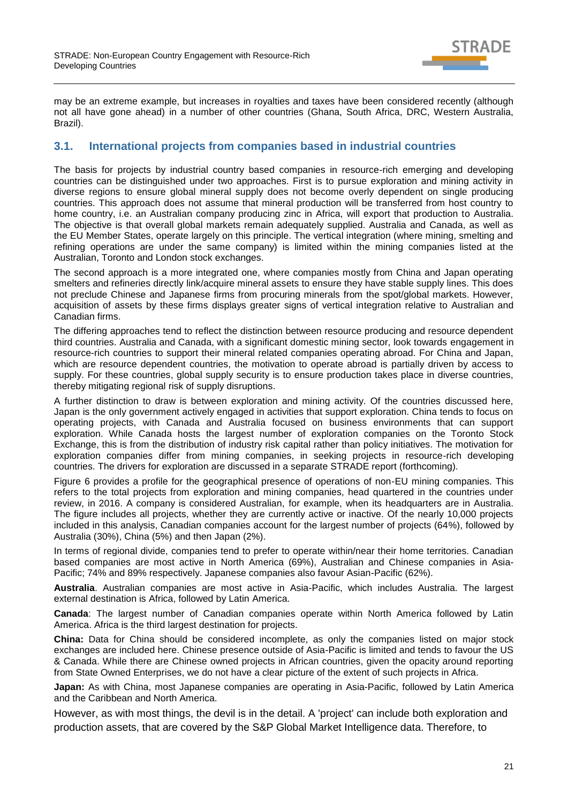

may be an extreme example, but increases in royalties and taxes have been considered recently (although not all have gone ahead) in a number of other countries (Ghana, South Africa, DRC, Western Australia, Brazil).

### <span id="page-20-0"></span>**3.1. International projects from companies based in industrial countries**

The basis for projects by industrial country based companies in resource-rich emerging and developing countries can be distinguished under two approaches. First is to pursue exploration and mining activity in diverse regions to ensure global mineral supply does not become overly dependent on single producing countries. This approach does not assume that mineral production will be transferred from host country to home country, i.e. an Australian company producing zinc in Africa, will export that production to Australia. The objective is that overall global markets remain adequately supplied. Australia and Canada, as well as the EU Member States, operate largely on this principle. The vertical integration (where mining, smelting and refining operations are under the same company) is limited within the mining companies listed at the Australian. Toronto and London stock exchanges.

The second approach is a more integrated one, where companies mostly from China and Japan operating smelters and refineries directly link/acquire mineral assets to ensure they have stable supply lines. This does not preclude Chinese and Japanese firms from procuring minerals from the spot/global markets. However, acquisition of assets by these firms displays greater signs of vertical integration relative to Australian and Canadian firms.

The differing approaches tend to reflect the distinction between resource producing and resource dependent third countries. Australia and Canada, with a significant domestic mining sector, look towards engagement in resource-rich countries to support their mineral related companies operating abroad. For China and Japan, which are resource dependent countries, the motivation to operate abroad is partially driven by access to supply. For these countries, global supply security is to ensure production takes place in diverse countries, thereby mitigating regional risk of supply disruptions.

A further distinction to draw is between exploration and mining activity. Of the countries discussed here, Japan is the only government actively engaged in activities that support exploration. China tends to focus on operating projects, with Canada and Australia focused on business environments that can support exploration. While Canada hosts the largest number of exploration companies on the Toronto Stock Exchange, this is from the distribution of industry risk capital rather than policy initiatives. The motivation for exploration companies differ from mining companies, in seeking projects in resource-rich developing countries. The drivers for exploration are discussed in a separate STRADE report (forthcoming).

[Figure 6](#page-22-0) provides a profile for the geographical presence of operations of non-EU mining companies. This refers to the total projects from exploration and mining companies, head quartered in the countries under review, in 2016. A company is considered Australian, for example, when its headquarters are in Australia. The figure includes all projects, whether they are currently active or inactive. Of the nearly 10,000 projects included in this analysis, Canadian companies account for the largest number of projects (64%), followed by Australia (30%), China (5%) and then Japan (2%).

In terms of regional divide, companies tend to prefer to operate within/near their home territories. Canadian based companies are most active in North America (69%), Australian and Chinese companies in Asia-Pacific; 74% and 89% respectively. Japanese companies also favour Asian-Pacific (62%).

**Australia**. Australian companies are most active in Asia-Pacific, which includes Australia. The largest external destination is Africa, followed by Latin America.

**Canada**: The largest number of Canadian companies operate within North America followed by Latin America. Africa is the third largest destination for projects.

**China:** Data for China should be considered incomplete, as only the companies listed on major stock exchanges are included here. Chinese presence outside of Asia-Pacific is limited and tends to favour the US & Canada. While there are Chinese owned projects in African countries, given the opacity around reporting from State Owned Enterprises, we do not have a clear picture of the extent of such projects in Africa.

**Japan:** As with China, most Japanese companies are operating in Asia-Pacific, followed by Latin America and the Caribbean and North America.

However, as with most things, the devil is in the detail. A 'project' can include both exploration and production assets, that are covered by the S&P Global Market Intelligence data. Therefore, to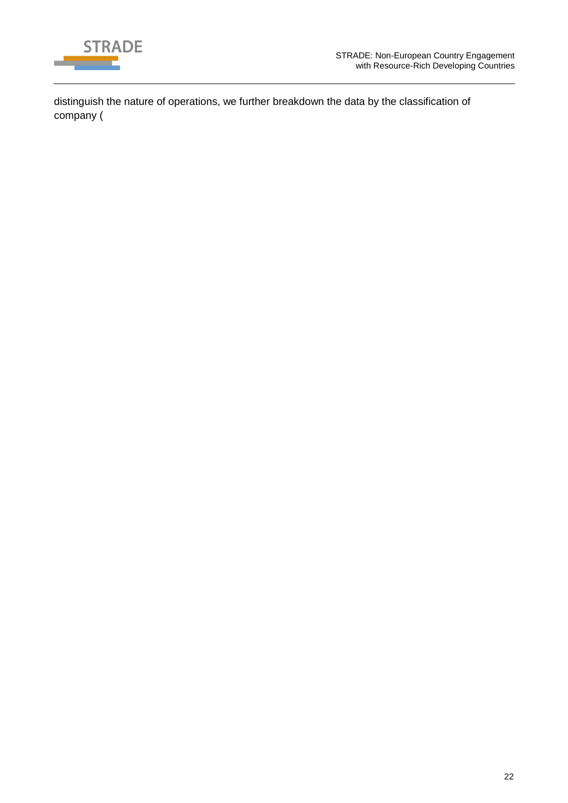

distinguish the nature of operations, we further breakdown the data by the classification of company [\(](#page-22-1)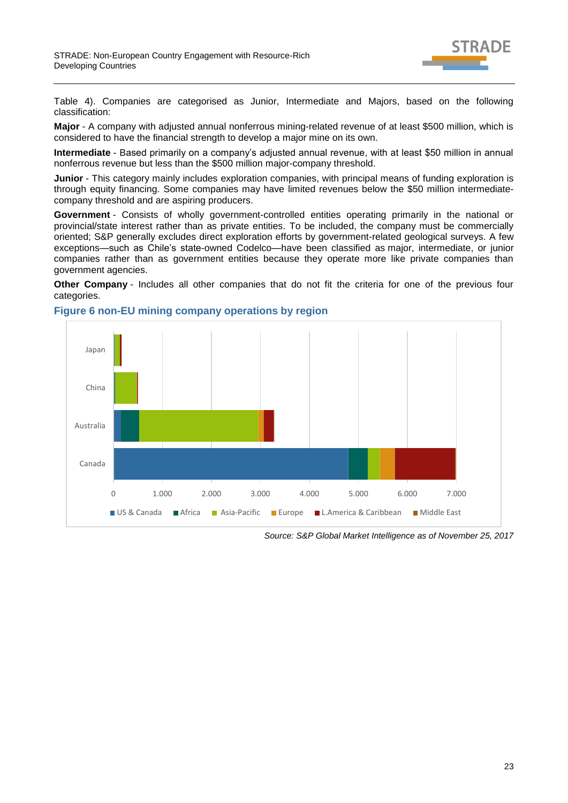

[Table 4\)](#page-22-1). Companies are categorised as Junior, Intermediate and Majors, based on the following classification:

**Major** - A company with adjusted annual nonferrous mining-related revenue of at least \$500 million, which is considered to have the financial strength to develop a major mine on its own.

**Intermediate** - Based primarily on a company's adjusted annual revenue, with at least \$50 million in annual nonferrous revenue but less than the \$500 million major-company threshold.

**Junior** - This category mainly includes exploration companies, with principal means of funding exploration is through equity financing. Some companies may have limited revenues below the \$50 million intermediatecompany threshold and are aspiring producers.

**Government** - Consists of wholly government-controlled entities operating primarily in the national or provincial/state interest rather than as private entities. To be included, the company must be commercially oriented; S&P generally excludes direct exploration efforts by government-related geological surveys. A few exceptions—such as Chile's state-owned Codelco—have been classified as major, intermediate, or junior companies rather than as government entities because they operate more like private companies than government agencies.

**Other Company** - Includes all other companies that do not fit the criteria for one of the previous four categories.



### <span id="page-22-0"></span>**Figure 6 non-EU mining company operations by region**

<span id="page-22-1"></span>*Source: S&P Global Market Intelligence as of November 25, 2017*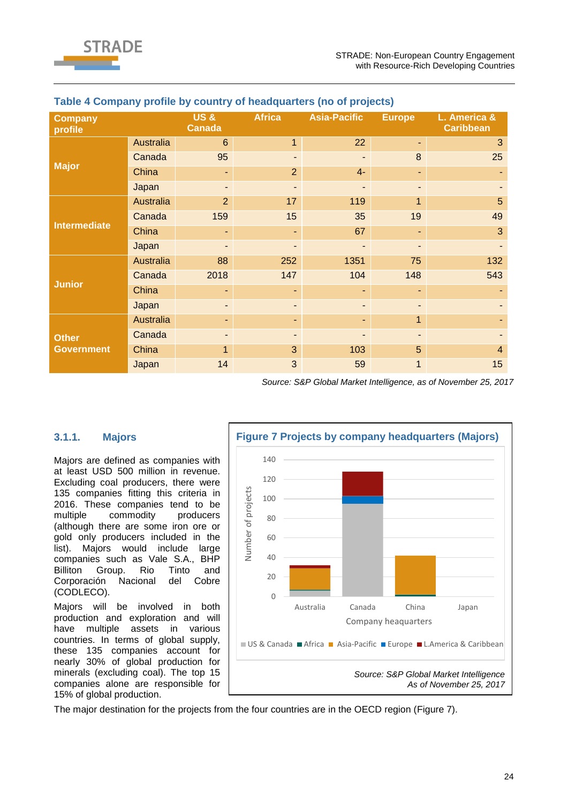

| <b>Company</b><br>profile |                  | US&<br><b>Canada</b> | <b>Africa</b>  | <b>Asia-Pacific</b> | <b>Europe</b>  | L. America &<br><b>Caribbean</b> |
|---------------------------|------------------|----------------------|----------------|---------------------|----------------|----------------------------------|
|                           | Australia        | $6\phantom{1}6$      | $\mathbf{1}$   | 22                  | ٠              | 3                                |
|                           | Canada           | 95                   | ٠              | ٠                   | 8              | 25                               |
| <b>Major</b>              | China            | ۰                    | $\overline{2}$ | $4-$                | ٠              |                                  |
|                           | Japan            |                      |                |                     | ٠              |                                  |
|                           | <b>Australia</b> | $\overline{2}$       | 17             | 119                 | $\mathbf{1}$   | 5                                |
|                           | Canada           | 159                  | 15             | 35                  | 19             | 49                               |
| <b>Intermediate</b>       | China            |                      | ٠              | 67                  | ٠              | 3                                |
|                           | Japan            |                      |                |                     | ٠              |                                  |
|                           | Australia        | 88                   | 252            | 1351                | 75             | 132                              |
|                           | Canada           | 2018                 | 147            | 104                 | 148            | 543                              |
| <b>Junior</b>             | China            |                      | ٠              | ٠                   | ٠              |                                  |
|                           | Japan            | ٠                    | ٠              | ٠                   | ٠              |                                  |
|                           | Australia        | ٠                    | ٠.             | ٠                   | $\mathbf{1}$   |                                  |
| <b>Other</b>              | Canada           |                      | ٠              |                     | $\blacksquare$ |                                  |
| <b>Government</b>         | China            | 1                    | 3              | 103                 | 5              | $\overline{4}$                   |
|                           | Japan            | 14                   | 3              | 59                  | 1              | 15                               |

### **Table 4 Company profile by country of headquarters (no of projects)**

*Source: S&P Global Market Intelligence, as of November 25, 2017*

### <span id="page-23-0"></span>**3.1.1. Majors**

Majors are defined as companies with at least USD 500 million in revenue. Excluding coal producers, there were 135 companies fitting this criteria in 2016. These companies tend to be multiple commodity producers (although there are some iron ore or gold only producers included in the list). Majors would include large companies such as Vale S.A., BHP Billiton Group. Rio Tinto and Corporación Nacional del Cobre (CODLECO).

Majors will be involved in both production and exploration and will have multiple assets in various countries. In terms of global supply, these 135 companies account for nearly 30% of global production for minerals (excluding coal). The top 15 companies alone are responsible for 15% of global production.

<span id="page-23-1"></span>

The major destination for the projects from the four countries are in the OECD region [\(Figure 7\)](#page-23-1).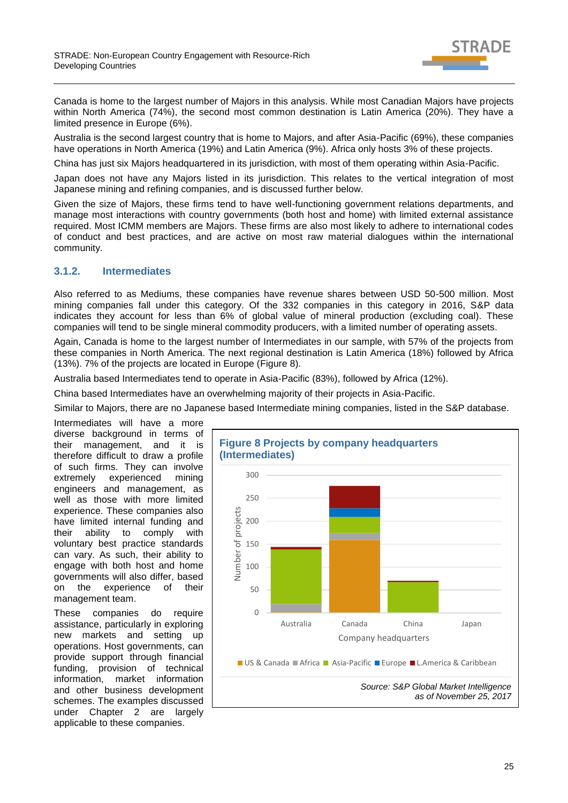RADF

Canada is home to the largest number of Majors in this analysis. While most Canadian Majors have projects within North America (74%), the second most common destination is Latin America (20%). They have a limited presence in Europe (6%).

Australia is the second largest country that is home to Majors, and after Asia-Pacific (69%), these companies have operations in North America (19%) and Latin America (9%). Africa only hosts 3% of these projects.

China has just six Majors headquartered in its jurisdiction, with most of them operating within Asia-Pacific.

Japan does not have any Majors listed in its jurisdiction. This relates to the vertical integration of most Japanese mining and refining companies, and is discussed further below.

Given the size of Majors, these firms tend to have well-functioning government relations departments, and manage most interactions with country governments (both host and home) with limited external assistance required. Most ICMM members are Majors. These firms are also most likely to adhere to international codes of conduct and best practices, and are active on most raw material dialogues within the international community.

### <span id="page-24-0"></span>**3.1.2. Intermediates**

Also referred to as Mediums, these companies have revenue shares between USD 50-500 million. Most mining companies fall under this category. Of the 332 companies in this category in 2016, S&P data indicates they account for less than 6% of global value of mineral production (excluding coal). These companies will tend to be single mineral commodity producers, with a limited number of operating assets.

Again, Canada is home to the largest number of Intermediates in our sample, with 57% of the projects from these companies in North America. The next regional destination is Latin America (18%) followed by Africa (13%). 7% of the projects are located in Europe [\(Figure 8\)](#page-24-1).

Australia based Intermediates tend to operate in Asia-Pacific (83%), followed by Africa (12%).

China based Intermediates have an overwhelming majority of their projects in Asia-Pacific.

Similar to Majors, there are no Japanese based Intermediate mining companies, listed in the S&P database.

Intermediates will have a more diverse background in terms of their management, and it is therefore difficult to draw a profile of such firms. They can involve extremely experienced mining engineers and management, as well as those with more limited experience. These companies also have limited internal funding and their ability to comply with voluntary best practice standards can vary. As such, their ability to engage with both host and home governments will also differ, based on the experience of their management team.

These companies do require assistance, particularly in exploring new markets and setting up operations. Host governments, can provide support through financial funding, provision of technical information, market information and other business development schemes. The examples discussed under Chapter 2 are largely applicable to these companies.

<span id="page-24-1"></span>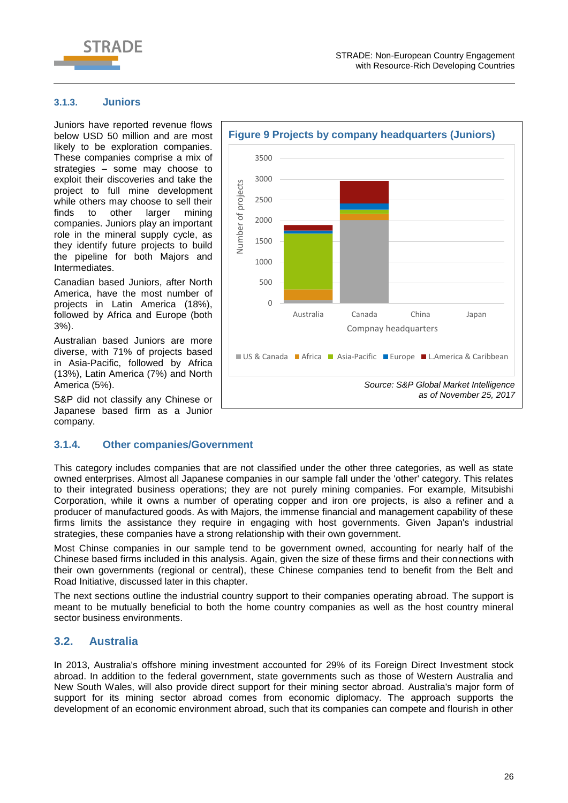

### <span id="page-25-0"></span>**3.1.3. Juniors**

Juniors have reported revenue flows below USD 50 million and are most likely to be exploration companies. These companies comprise a mix of strategies – some may choose to exploit their discoveries and take the project to full mine development while others may choose to sell their finds to other larger mining companies. Juniors play an important role in the mineral supply cycle, as they identify future projects to build the pipeline for both Majors and Intermediates.

Canadian based Juniors, after North America, have the most number of projects in Latin America (18%), followed by Africa and Europe (both 3%).

Australian based Juniors are more diverse, with 71% of projects based in Asia-Pacific, followed by Africa (13%), Latin America (7%) and North America (5%).

S&P did not classify any Chinese or Japanese based firm as a Junior company.

# 3000 Number of projects Number of projects 2500 2000 1500 1000 500  $\overline{0}$ Australia Canada China Japan Compnay headquarters ■ US & Canada ■ Africa ■ Asia-Pacific ■ Europe ■ L.America & Caribbean *Source: S&P Global Market Intelligence as of November 25, 2017*

**Figure 9 Projects by company headquarters (Juniors)**

#### <span id="page-25-1"></span>**3.1.4. Other companies/Government**

This category includes companies that are not classified under the other three categories, as well as state owned enterprises. Almost all Japanese companies in our sample fall under the 'other' category. This relates to their integrated business operations; they are not purely mining companies. For example, Mitsubishi Corporation, while it owns a number of operating copper and iron ore projects, is also a refiner and a producer of manufactured goods. As with Majors, the immense financial and management capability of these firms limits the assistance they require in engaging with host governments. Given Japan's industrial strategies, these companies have a strong relationship with their own government.

3500

Most Chinse companies in our sample tend to be government owned, accounting for nearly half of the Chinese based firms included in this analysis. Again, given the size of these firms and their connections with their own governments (regional or central), these Chinese companies tend to benefit from the Belt and Road Initiative, discussed later in this chapter.

The next sections outline the industrial country support to their companies operating abroad. The support is meant to be mutually beneficial to both the home country companies as well as the host country mineral sector business environments.

### <span id="page-25-2"></span>**3.2. Australia**

In 2013, Australia's offshore mining investment accounted for 29% of its Foreign Direct Investment stock abroad. In addition to the federal government, state governments such as those of Western Australia and New South Wales, will also provide direct support for their mining sector abroad. Australia's major form of support for its mining sector abroad comes from economic diplomacy. The approach supports the development of an economic environment abroad, such that its companies can compete and flourish in other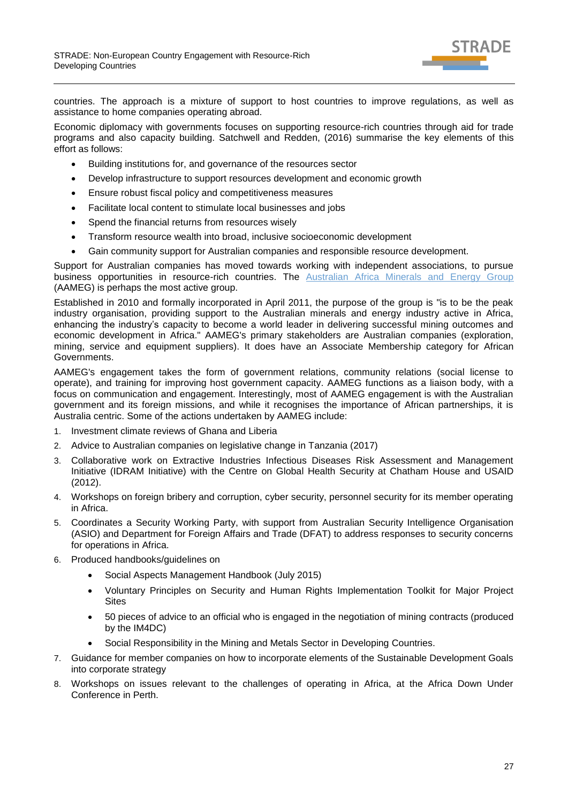

countries. The approach is a mixture of support to host countries to improve regulations, as well as assistance to home companies operating abroad.

Economic diplomacy with governments focuses on supporting resource-rich countries through aid for trade programs and also capacity building. Satchwell and Redden, (2016) summarise the key elements of this effort as follows:

- Building institutions for, and governance of the resources sector
- Develop infrastructure to support resources development and economic growth
- Ensure robust fiscal policy and competitiveness measures
- Facilitate local content to stimulate local businesses and jobs
- Spend the financial returns from resources wisely
- Transform resource wealth into broad, inclusive socioeconomic development
- Gain community support for Australian companies and responsible resource development.

Support for Australian companies has moved towards working with independent associations, to pursue business opportunities in resource-rich countries. The [Australian Africa Minerals and Energy Group](https://aameg.org/) (AAMEG) is perhaps the most active group.

Established in 2010 and formally incorporated in April 2011, the purpose of the group is "is to be the peak industry organisation, providing support to the Australian minerals and energy industry active in Africa, enhancing the industry's capacity to become a world leader in delivering successful mining outcomes and economic development in Africa." AAMEG's primary stakeholders are Australian companies (exploration, mining, service and equipment suppliers). It does have an Associate Membership category for African Governments.

AAMEG's engagement takes the form of government relations, community relations (social license to operate), and training for improving host government capacity. AAMEG functions as a liaison body, with a focus on communication and engagement. Interestingly, most of AAMEG engagement is with the Australian government and its foreign missions, and while it recognises the importance of African partnerships, it is Australia centric. Some of the actions undertaken by AAMEG include:

- 1. Investment climate reviews of Ghana and Liberia
- 2. Advice to Australian companies on legislative change in Tanzania (2017)
- 3. Collaborative work on Extractive Industries Infectious Diseases Risk Assessment and Management Initiative (IDRAM Initiative) with the Centre on Global Health Security at Chatham House and USAID (2012).
- 4. Workshops on foreign bribery and corruption, cyber security, personnel security for its member operating in Africa.
- 5. Coordinates a Security Working Party, with support from Australian Security Intelligence Organisation (ASIO) and Department for Foreign Affairs and Trade (DFAT) to address responses to security concerns for operations in Africa.
- 6. Produced handbooks/guidelines on
	- Social Aspects Management Handbook (July 2015)
	- Voluntary Principles on Security and Human Rights Implementation Toolkit for Major Project **Sites**
	- 50 pieces of advice to an official who is engaged in the negotiation of mining contracts (produced by the IM4DC)
	- Social Responsibility in the Mining and Metals Sector in Developing Countries.
- 7. Guidance for member companies on how to incorporate elements of the Sustainable Development Goals into corporate strategy
- 8. Workshops on issues relevant to the challenges of operating in Africa, at the Africa Down Under Conference in Perth.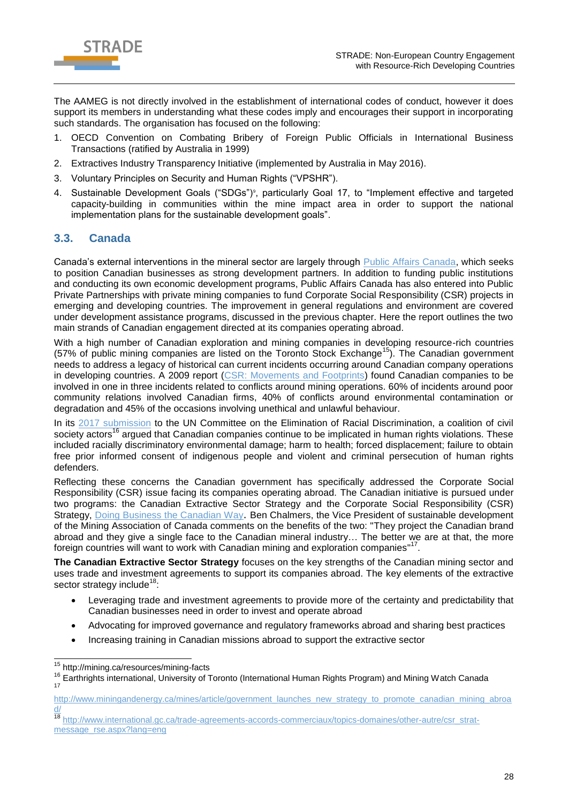

The AAMEG is not directly involved in the establishment of international codes of conduct, however it does support its members in understanding what these codes imply and encourages their support in incorporating such standards. The organisation has focused on the following:

- 1. OECD Convention on Combating Bribery of Foreign Public Officials in International Business Transactions (ratified by Australia in 1999)
- 2. Extractives Industry Transparency Initiative (implemented by Australia in May 2016).
- 3. Voluntary Principles on Security and Human Rights ("VPSHR").
- 4. Sustainable Development Goals ("SDGs")<sup>®</sup>, particularly Goal 17, to "Implement effective and targeted capacity-building in communities within the mine impact area in order to support the national implementation plans for the sustainable development goals".

### <span id="page-27-0"></span>**3.3. Canada**

Canada's external interventions in the mineral sector are largely through [Public Affairs Canada,](http://www.publicaffairs.ca/) which seeks to position Canadian businesses as strong development partners. In addition to funding public institutions and conducting its own economic development programs, Public Affairs Canada has also entered into Public Private Partnerships with private mining companies to fund Corporate Social Responsibility (CSR) projects in emerging and developing countries. The improvement in general regulations and environment are covered under development assistance programs, discussed in the previous chapter. Here the report outlines the two main strands of Canadian engagement directed at its companies operating abroad.

With a high number of Canadian exploration and mining companies in developing resource-rich countries (57% of public mining companies are listed on the Toronto Stock Exchange<sup>15</sup>). The Canadian government needs to address a legacy of historical can current incidents occurring around Canadian company operations in developing countries. A 2009 report [\(CSR: Movements and Footprints\)](http://caid.ca/CSRRep2009.pdf) found Canadian companies to be involved in one in three incidents related to conflicts around mining operations. 60% of incidents around poor community relations involved Canadian firms, 40% of conflicts around environmental contamination or degradation and 45% of the occasions involving unethical and unlawful behaviour.

In its [2017 submission](https://miningwatch.ca/sites/default/files/cerd_final_8.10.pdf) to the UN Committee on the Elimination of Racial Discrimination, a coalition of civil society actors<sup>16</sup> argued that Canadian companies continue to be implicated in human rights violations. These included racially discriminatory environmental damage; harm to health; forced displacement; failure to obtain free prior informed consent of indigenous people and violent and criminal persecution of human rights defenders.

Reflecting these concerns the Canadian government has specifically addressed the Corporate Social Responsibility (CSR) issue facing its companies operating abroad. The Canadian initiative is pursued under two programs: the Canadian Extractive Sector Strategy and the Corporate Social Responsibility (CSR) Strategy, [Doing Business the Canadian Way](http://www.international.gc.ca/trade-agreements-accords-commerciaux/topics-domaines/other-autre/csr-strat-rse.aspx?lang=eng). Ben Chalmers, the Vice President of sustainable development of the Mining Association of Canada comments on the benefits of the two: "They project the Canadian brand abroad and they give a single face to the Canadian mineral industry… The better we are at that, the more foreign countries will want to work with Canadian mining and exploration companies"<sup>17</sup>.

**The Canadian Extractive Sector Strategy** focuses on the key strengths of the Canadian mining sector and uses trade and investment agreements to support its companies abroad. The key elements of the extractive sector strategy include<sup>18</sup>:

- Leveraging trade and investment agreements to provide more of the certainty and predictability that Canadian businesses need in order to invest and operate abroad
- Advocating for improved governance and regulatory frameworks abroad and sharing best practices
- Increasing training in Canadian missions abroad to support the extractive sector

 $\overline{a}$ 

<sup>&</sup>lt;sup>15</sup> http://mining.ca/resources/mining-facts

<sup>&</sup>lt;sup>16</sup> Earthrights international, University of Toronto (International Human Rights Program) and Mining Watch Canada<br><sup>17</sup>

[http://www.miningandenergy.ca/mines/article/government\\_launches\\_new\\_strategy\\_to\\_promote\\_canadian\\_mining\\_abroa](http://www.miningandenergy.ca/mines/article/government_launches_new_strategy_to_promote_canadian_mining_abroad/) [d/](http://www.miningandenergy.ca/mines/article/government_launches_new_strategy_to_promote_canadian_mining_abroad/)

<sup>18</sup> [http://www.international.gc.ca/trade-agreements-accords-commerciaux/topics-domaines/other-autre/csr\\_strat](http://www.international.gc.ca/trade-agreements-accords-commerciaux/topics-domaines/other-autre/csr_strat-message_rse.aspx?lang=eng)[message\\_rse.aspx?lang=eng](http://www.international.gc.ca/trade-agreements-accords-commerciaux/topics-domaines/other-autre/csr_strat-message_rse.aspx?lang=eng)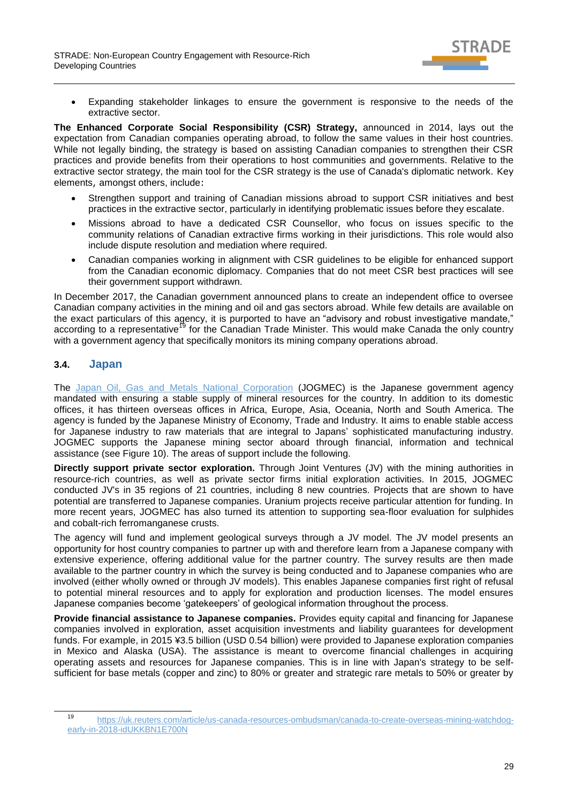

 Expanding stakeholder linkages to ensure the government is responsive to the needs of the extractive sector.

**The Enhanced Corporate Social Responsibility (CSR) Strategy,** announced in 2014, lays out the expectation from Canadian companies operating abroad, to follow the same values in their host countries. While not legally binding, the strategy is based on assisting Canadian companies to strengthen their CSR practices and provide benefits from their operations to host communities and governments. Relative to the extractive sector strategy, the main tool for the CSR strategy is the use of Canada's diplomatic network. Key elements, amongst others, include:

- Strengthen support and training of Canadian missions abroad to support CSR initiatives and best practices in the extractive sector, particularly in identifying problematic issues before they escalate.
- Missions abroad to have a dedicated CSR Counsellor, who focus on issues specific to the community relations of Canadian extractive firms working in their jurisdictions. This role would also include dispute resolution and mediation where required.
- Canadian companies working in alignment with CSR guidelines to be eligible for enhanced support from the Canadian economic diplomacy. Companies that do not meet CSR best practices will see their government support withdrawn.

In December 2017, the Canadian government announced plans to create an independent office to oversee Canadian company activities in the mining and oil and gas sectors abroad. While few details are available on the exact particulars of this agency, it is purported to have an "advisory and robust investigative mandate," according to a representative<sup>19</sup> for the Canadian Trade Minister. This would make Canada the only country with a government agency that specifically monitors its mining company operations abroad.

## <span id="page-28-0"></span>**3.4. Japan**

 $\overline{a}$ 

The [Japan Oil, Gas and Metals National Corporation](http://www.jogmec.go.jp/english/) (JOGMEC) is the Japanese government agency mandated with ensuring a stable supply of mineral resources for the country. In addition to its domestic offices, it has thirteen overseas offices in Africa, Europe, Asia, Oceania, North and South America. The agency is funded by the Japanese Ministry of Economy, Trade and Industry. It aims to enable stable access for Japanese industry to raw materials that are integral to Japans' sophisticated manufacturing industry. JOGMEC supports the Japanese mining sector aboard through financial, information and technical assistance (see [Figure 10\)](#page-29-1). The areas of support include the following.

**Directly support private sector exploration.** Through Joint Ventures (JV) with the mining authorities in resource-rich countries, as well as private sector firms initial exploration activities. In 2015, JOGMEC conducted JV's in 35 regions of 21 countries, including 8 new countries. Projects that are shown to have potential are transferred to Japanese companies. Uranium projects receive particular attention for funding. In more recent years, JOGMEC has also turned its attention to supporting sea-floor evaluation for sulphides and cobalt-rich ferromanganese crusts.

The agency will fund and implement geological surveys through a JV model. The JV model presents an opportunity for host country companies to partner up with and therefore learn from a Japanese company with extensive experience, offering additional value for the partner country. The survey results are then made available to the partner country in which the survey is being conducted and to Japanese companies who are involved (either wholly owned or through JV models). This enables Japanese companies first right of refusal to potential mineral resources and to apply for exploration and production licenses. The model ensures Japanese companies become 'gatekeepers' of geological information throughout the process.

**Provide financial assistance to Japanese companies.** Provides equity capital and financing for Japanese companies involved in exploration, asset acquisition investments and liability guarantees for development funds. For example, in 2015 ¥3.5 billion (USD 0.54 billion) were provided to Japanese exploration companies in Mexico and Alaska (USA). The assistance is meant to overcome financial challenges in acquiring operating assets and resources for Japanese companies. This is in line with Japan's strategy to be selfsufficient for base metals (copper and zinc) to 80% or greater and strategic rare metals to 50% or greater by

<sup>19</sup> [https://uk.reuters.com/article/us-canada-resources-ombudsman/canada-to-create-overseas-mining-watchdog](https://uk.reuters.com/article/us-canada-resources-ombudsman/canada-to-create-overseas-mining-watchdog-early-in-2018-idUKKBN1E700N)[early-in-2018-idUKKBN1E700N](https://uk.reuters.com/article/us-canada-resources-ombudsman/canada-to-create-overseas-mining-watchdog-early-in-2018-idUKKBN1E700N)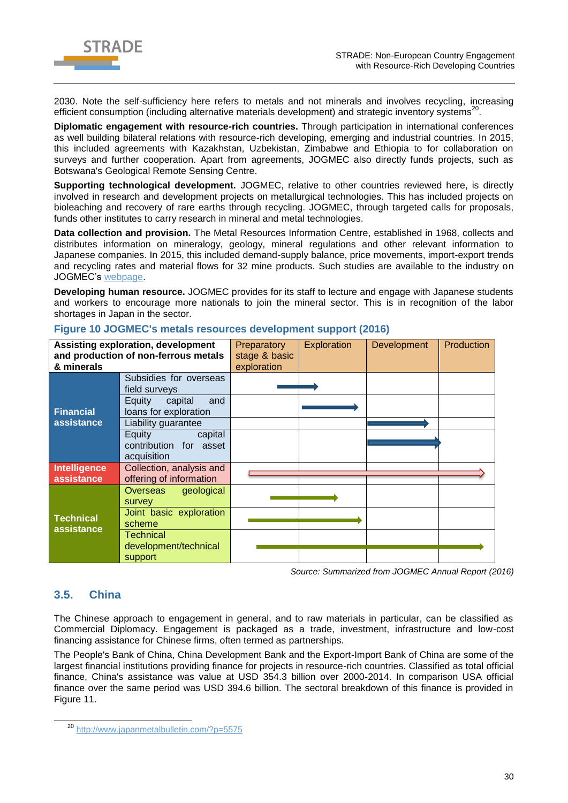

2030. Note the self-sufficiency here refers to metals and not minerals and involves recycling, increasing efficient consumption (including alternative materials development) and strategic inventory systems<sup>20</sup>.

**Diplomatic engagement with resource-rich countries.** Through participation in international conferences as well building bilateral relations with resource-rich developing, emerging and industrial countries. In 2015, this included agreements with Kazakhstan, Uzbekistan, Zimbabwe and Ethiopia to for collaboration on surveys and further cooperation. Apart from agreements, JOGMEC also directly funds projects, such as Botswana's Geological Remote Sensing Centre.

**Supporting technological development.** JOGMEC, relative to other countries reviewed here, is directly involved in research and development projects on metallurgical technologies. This has included projects on bioleaching and recovery of rare earths through recycling. JOGMEC, through targeted calls for proposals, funds other institutes to carry research in mineral and metal technologies.

**Data collection and provision.** The Metal Resources Information Centre, established in 1968, collects and distributes information on mineralogy, geology, mineral regulations and other relevant information to Japanese companies. In 2015, this included demand-supply balance, price movements, import-export trends and recycling rates and material flows for 32 mine products. Such studies are available to the industry on JOGMEC's [webpage.](http://mric.jogmec.go.jp/)

**Developing human resource.** JOGMEC provides for its staff to lecture and engage with Japanese students and workers to encourage more nationals to join the mineral sector. This is in recognition of the labor shortages in Japan in the sector.

| <b>Assisting exploration, development</b><br>and production of non-ferrous metals<br>& minerals |                                                            | Preparatory<br>stage & basic<br>exploration | Exploration | <b>Development</b> | Production |
|-------------------------------------------------------------------------------------------------|------------------------------------------------------------|---------------------------------------------|-------------|--------------------|------------|
|                                                                                                 | Subsidies for overseas<br>field surveys                    |                                             |             |                    |            |
| <b>Financial</b>                                                                                | capital<br>Equity<br>and<br>loans for exploration          |                                             |             |                    |            |
| assistance                                                                                      | Liability guarantee                                        |                                             |             |                    |            |
|                                                                                                 | Equity<br>capital<br>contribution for asset<br>acquisition |                                             |             |                    |            |
| Intelligence<br>assistance                                                                      | Collection, analysis and<br>offering of information        |                                             |             |                    |            |
|                                                                                                 | Overseas geological<br>survey                              |                                             |             |                    |            |
| <b>Technical</b><br>assistance                                                                  | Joint basic exploration<br>scheme                          |                                             |             |                    |            |
|                                                                                                 | Technical<br>development/technical<br>support              |                                             |             |                    |            |

#### <span id="page-29-1"></span>**Figure 10 JOGMEC's metals resources development support (2016)**

*Source: Summarized from JOGMEC Annual Report (2016)*

### <span id="page-29-0"></span>**3.5. China**

-

The Chinese approach to engagement in general, and to raw materials in particular, can be classified as Commercial Diplomacy. Engagement is packaged as a trade, investment, infrastructure and low-cost financing assistance for Chinese firms, often termed as partnerships.

The People's Bank of China, China Development Bank and the Export-Import Bank of China are some of the largest financial institutions providing finance for projects in resource-rich countries. Classified as total official finance, China's assistance was value at USD 354.3 billion over 2000-2014. In comparison USA official finance over the same period was USD 394.6 billion. The sectoral breakdown of this finance is provided in [Figure 11.](#page-30-0)

<sup>20</sup> <http://www.japanmetalbulletin.com/?p=5575>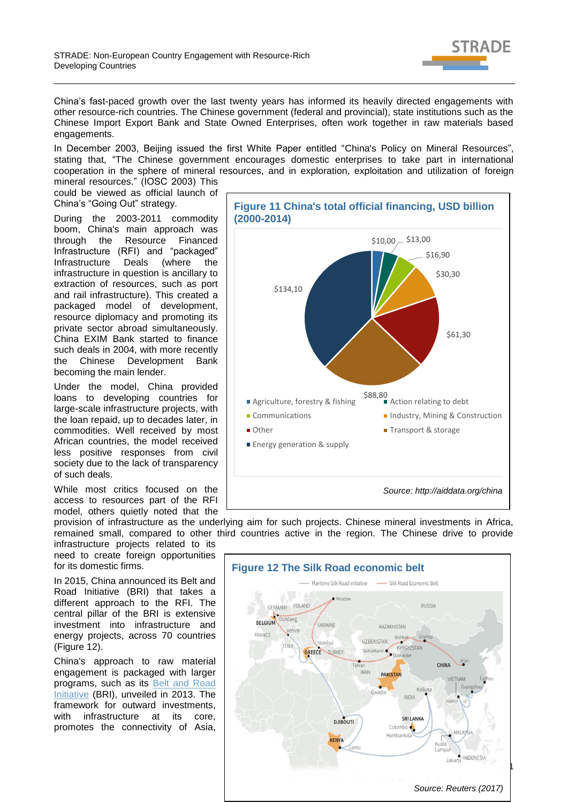

China's fast-paced growth over the last twenty years has informed its heavily directed engagements with other resource-rich countries. The Chinese government (federal and provincial), state institutions such as the Chinese Import Export Bank and State Owned Enterprises, often work together in raw materials based engagements.

In December 2003, Beijing issued the first White Paper entitled "China's Policy on Mineral Resources", stating that, "The Chinese government encourages domestic enterprises to take part in international cooperation in the sphere of mineral resources, and in exploration, exploitation and utilization of foreign

mineral resources." (IOSC 2003) This could be viewed as official launch of China's "Going Out" strategy.

During the 2003-2011 commodity boom, China's main approach was through the Resource Financed Infrastructure (RFI) and "packaged" Infrastructure Deals (where the infrastructure in question is ancillary to extraction of resources, such as port and rail infrastructure). This created a packaged model of development, resource diplomacy and promoting its private sector abroad simultaneously. China EXIM Bank started to finance such deals in 2004, with more recently the Chinese Development Bank becoming the main lender.

Under the model, China provided loans to developing countries for large-scale infrastructure projects, with the loan repaid, up to decades later, in commodities. Well received by most African countries, the model received less positive responses from civil society due to the lack of transparency of such deals.

While most critics focused on the access to resources part of the RFI model, others quietly noted that the

infrastructure projects related to its need to create foreign opportunities for its domestic firms.

In 2015, China announced its Belt and Road Initiative (BRI) that takes a different approach to the RFI. The central pillar of the BRI is extensive investment into infrastructure and energy projects, across 70 countries [\(Figure 12\)](#page-30-1).

China's approach to raw material engagement is packaged with larger programs, such as its [Belt and Road](http://en.ndrc.gov.cn/newsrelease/201503/t20150330_669367.html)  [Initiative](http://en.ndrc.gov.cn/newsrelease/201503/t20150330_669367.html) (BRI), unveiled in 2013. The framework for outward investments, with infrastructure at its core. promotes the connectivity of Asia,

<span id="page-30-0"></span>

provision of infrastructure as the underlying aim for such projects. Chinese mineral investments in Africa, remained small, compared to other third countries active in the region. The Chinese drive to provide

<span id="page-30-1"></span>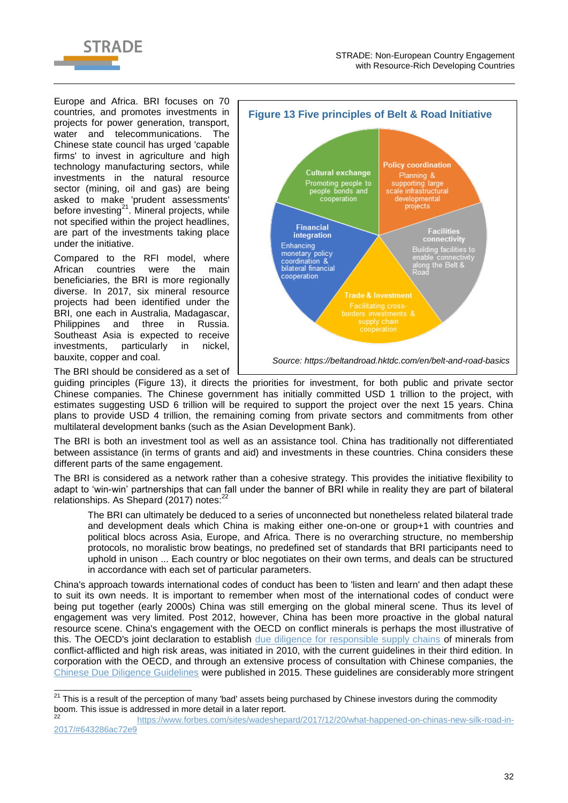

Europe and Africa. BRI focuses on 70 countries, and promotes investments in projects for power generation, transport, water and telecommunications. The Chinese state council has urged 'capable firms' to invest in agriculture and high technology manufacturing sectors, while investments in the natural resource sector (mining, oil and gas) are being asked to make 'prudent assessments' before investing $^{21}$ . Mineral projects, while not specified within the project headlines, are part of the investments taking place under the initiative.

Compared to the RFI model, where African countries were the main beneficiaries, the BRI is more regionally diverse. In 2017, six mineral resource projects had been identified under the BRI, one each in Australia, Madagascar, Philippines and three in Russia. Southeast Asia is expected to receive investments, particularly in nickel, bauxite, copper and coal.

<span id="page-31-0"></span>

The BRI should be considered as a set of

 $\overline{\phantom{a}}$ 

guiding principles [\(Figure 13\)](#page-31-0), it directs the priorities for investment, for both public and private sector Chinese companies. The Chinese government has initially committed USD 1 trillion to the project, with estimates suggesting USD 6 trillion will be required to support the project over the next 15 years. China plans to provide USD 4 trillion, the remaining coming from private sectors and commitments from other multilateral development banks (such as the Asian Development Bank).

The BRI is both an investment tool as well as an assistance tool. China has traditionally not differentiated between assistance (in terms of grants and aid) and investments in these countries. China considers these different parts of the same engagement.

The BRI is considered as a network rather than a cohesive strategy. This provides the initiative flexibility to adapt to 'win-win' partnerships that can fall under the banner of BRI while in reality they are part of bilateral relationships. As Shepard (2017) notes: $^{22}$ 

The BRI can ultimately be deduced to a series of unconnected but nonetheless related bilateral trade and development deals which China is making either one-on-one or group+1 with countries and political blocs across Asia, Europe, and Africa. There is no overarching structure, no membership protocols, no moralistic brow beatings, no predefined set of standards that BRI participants need to uphold in unison ... Each country or bloc negotiates on their own terms, and deals can be structured in accordance with each set of particular parameters.

China's approach towards international codes of conduct has been to 'listen and learn' and then adapt these to suit its own needs. It is important to remember when most of the international codes of conduct were being put together (early 2000s) China was still emerging on the global mineral scene. Thus its level of engagement was very limited. Post 2012, however, China has been more proactive in the global natural resource scene. China's engagement with the OECD on conflict minerals is perhaps the most illustrative of this. The OECD's joint declaration to establish [due diligence for responsible supply chains](http://www.oecd.org/corporate/mne/mining.htm) of minerals from conflict-afflicted and high risk areas, was initiated in 2010, with the current guidelines in their third edition. In corporation with the OECD, and through an extensive process of consultation with Chinese companies, the [Chinese Due Diligence Guidelines](http://mneguidelines.oecd.org/chinese-due-diligence-guidelines-for-responsible-mineral-supply-chains.htm) were published in 2015. These guidelines are considerably more stringent

 $21$  This is a result of the perception of many 'bad' assets being purchased by Chinese investors during the commodity boom. This issue is addressed in more detail in a later report.

<sup>22</sup> [https://www.forbes.com/sites/wadeshepard/2017/12/20/what-happened-on-chinas-new-silk-road-in-](https://www.forbes.com/sites/wadeshepard/2017/12/20/what-happened-on-chinas-new-silk-road-in-2017/#643286ac72e9)[2017/#643286ac72e9](https://www.forbes.com/sites/wadeshepard/2017/12/20/what-happened-on-chinas-new-silk-road-in-2017/#643286ac72e9)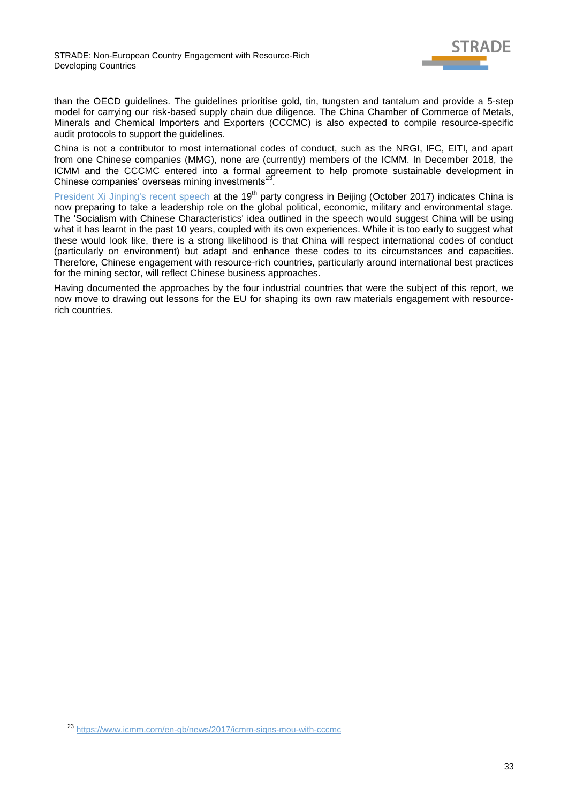

than the OECD guidelines. The guidelines prioritise gold, tin, tungsten and tantalum and provide a 5-step model for carrying our risk-based supply chain due diligence. The China Chamber of Commerce of Metals, Minerals and Chemical Importers and Exporters (CCCMC) is also expected to compile resource-specific audit protocols to support the guidelines.

China is not a contributor to most international codes of conduct, such as the NRGI, IFC, EITI, and apart from one Chinese companies (MMG), none are (currently) members of the ICMM. In December 2018, the ICMM and the CCCMC entered into a formal agreement to help promote sustainable development in Chinese companies' overseas mining investments $^{23}$ .

[President Xi Jinping's recent speech](https://www.theguardian.com/world/2017/oct/18/xi-jinping-speech-new-era-chinese-power-party-congress) at the 19<sup>th</sup> party congress in Beijing (October 2017) indicates China is now preparing to take a leadership role on the global political, economic, military and environmental stage. The 'Socialism with Chinese Characteristics' idea outlined in the speech would suggest China will be using what it has learnt in the past 10 years, coupled with its own experiences. While it is too early to suggest what these would look like, there is a strong likelihood is that China will respect international codes of conduct (particularly on environment) but adapt and enhance these codes to its circumstances and capacities. Therefore, Chinese engagement with resource-rich countries, particularly around international best practices for the mining sector, will reflect Chinese business approaches.

Having documented the approaches by the four industrial countries that were the subject of this report, we now move to drawing out lessons for the EU for shaping its own raw materials engagement with resourcerich countries.

-

<sup>23</sup> <https://www.icmm.com/en-gb/news/2017/icmm-signs-mou-with-cccmc>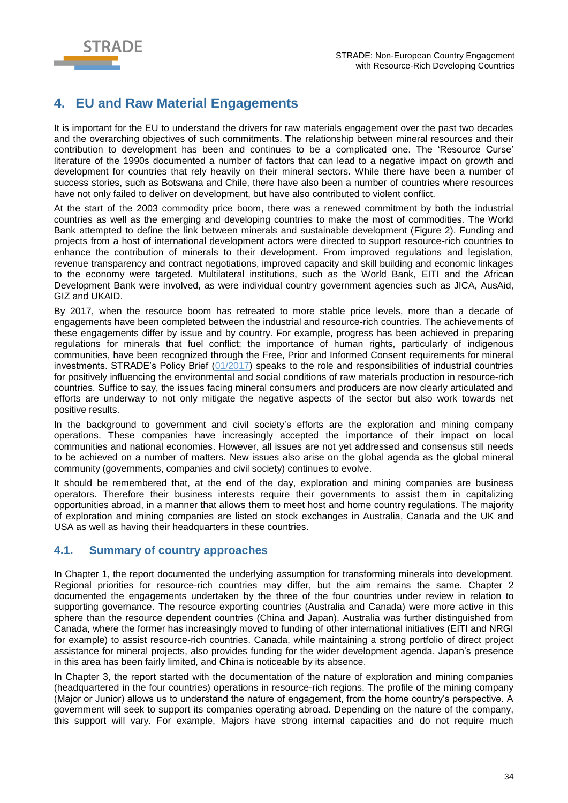

# <span id="page-33-0"></span>**4. EU and Raw Material Engagements**

It is important for the EU to understand the drivers for raw materials engagement over the past two decades and the overarching objectives of such commitments. The relationship between mineral resources and their contribution to development has been and continues to be a complicated one. The 'Resource Curse' literature of the 1990s documented a number of factors that can lead to a negative impact on growth and development for countries that rely heavily on their mineral sectors. While there have been a number of success stories, such as Botswana and Chile, there have also been a number of countries where resources have not only failed to deliver on development, but have also contributed to violent conflict.

At the start of the 2003 commodity price boom, there was a renewed commitment by both the industrial countries as well as the emerging and developing countries to make the most of commodities. The World Bank attempted to define the link between minerals and sustainable development [\(Figure 2\)](#page-10-0). Funding and projects from a host of international development actors were directed to support resource-rich countries to enhance the contribution of minerals to their development. From improved regulations and legislation, revenue transparency and contract negotiations, improved capacity and skill building and economic linkages to the economy were targeted. Multilateral institutions, such as the World Bank, EITI and the African Development Bank were involved, as were individual country government agencies such as JICA, AusAid, GIZ and UKAID.

By 2017, when the resource boom has retreated to more stable price levels, more than a decade of engagements have been completed between the industrial and resource-rich countries. The achievements of these engagements differ by issue and by country. For example, progress has been achieved in preparing regulations for minerals that fuel conflict; the importance of human rights, particularly of indigenous communities, have been recognized through the Free, Prior and Informed Consent requirements for mineral investments. STRADE's Policy Brief [\(01/2017\)](http://stradeproject.eu/fileadmin/user_upload/pdf/PolicyBrief_01-2017_Feb2017_FINAL.pdf) speaks to the role and responsibilities of industrial countries for positively influencing the environmental and social conditions of raw materials production in resource-rich countries. Suffice to say, the issues facing mineral consumers and producers are now clearly articulated and efforts are underway to not only mitigate the negative aspects of the sector but also work towards net positive results.

In the background to government and civil society's efforts are the exploration and mining company operations. These companies have increasingly accepted the importance of their impact on local communities and national economies. However, all issues are not yet addressed and consensus still needs to be achieved on a number of matters. New issues also arise on the global agenda as the global mineral community (governments, companies and civil society) continues to evolve.

It should be remembered that, at the end of the day, exploration and mining companies are business operators. Therefore their business interests require their governments to assist them in capitalizing opportunities abroad, in a manner that allows them to meet host and home country regulations. The majority of exploration and mining companies are listed on stock exchanges in Australia, Canada and the UK and USA as well as having their headquarters in these countries.

## <span id="page-33-1"></span>**4.1. Summary of country approaches**

In Chapter 1, the report documented the underlying assumption for transforming minerals into development. Regional priorities for resource-rich countries may differ, but the aim remains the same. Chapter 2 documented the engagements undertaken by the three of the four countries under review in relation to supporting governance. The resource exporting countries (Australia and Canada) were more active in this sphere than the resource dependent countries (China and Japan). Australia was further distinguished from Canada, where the former has increasingly moved to funding of other international initiatives (EITI and NRGI for example) to assist resource-rich countries. Canada, while maintaining a strong portfolio of direct project assistance for mineral projects, also provides funding for the wider development agenda. Japan's presence in this area has been fairly limited, and China is noticeable by its absence.

In Chapter 3, the report started with the documentation of the nature of exploration and mining companies (headquartered in the four countries) operations in resource-rich regions. The profile of the mining company (Major or Junior) allows us to understand the nature of engagement, from the home country's perspective. A government will seek to support its companies operating abroad. Depending on the nature of the company, this support will vary. For example, Majors have strong internal capacities and do not require much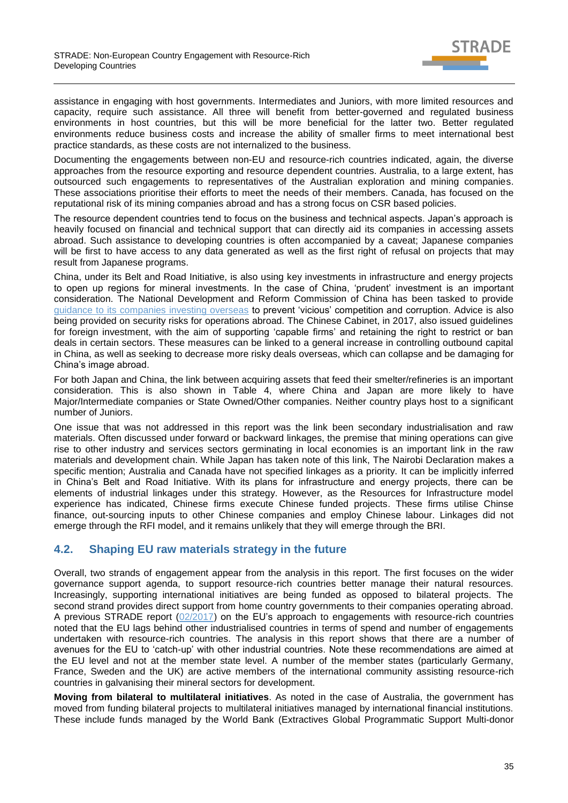

assistance in engaging with host governments. Intermediates and Juniors, with more limited resources and capacity, require such assistance. All three will benefit from better-governed and regulated business environments in host countries, but this will be more beneficial for the latter two. Better regulated environments reduce business costs and increase the ability of smaller firms to meet international best practice standards, as these costs are not internalized to the business.

Documenting the engagements between non-EU and resource-rich countries indicated, again, the diverse approaches from the resource exporting and resource dependent countries. Australia, to a large extent, has outsourced such engagements to representatives of the Australian exploration and mining companies. These associations prioritise their efforts to meet the needs of their members. Canada, has focused on the reputational risk of its mining companies abroad and has a strong focus on CSR based policies.

The resource dependent countries tend to focus on the business and technical aspects. Japan's approach is heavily focused on financial and technical support that can directly aid its companies in accessing assets abroad. Such assistance to developing countries is often accompanied by a caveat; Japanese companies will be first to have access to any data generated as well as the first right of refusal on projects that may result from Japanese programs.

China, under its Belt and Road Initiative, is also using key investments in infrastructure and energy projects to open up regions for mineral investments. In the case of China, 'prudent' investment is an important consideration. The National Development and Reform Commission of China has been tasked to provide [guidance to its companies investing overseas](https://uk.reuters.com/article/us-china-economy-odi/china-to-curb-irrational-overseas-belt-and-road-investment-state-planner-idUKKCN1AY0FN) to prevent 'vicious' competition and corruption. Advice is also being provided on security risks for operations abroad. The Chinese Cabinet, in 2017, also issued guidelines for foreign investment, with the aim of supporting 'capable firms' and retaining the right to restrict or ban deals in certain sectors. These measures can be linked to a general increase in controlling outbound capital in China, as well as seeking to decrease more risky deals overseas, which can collapse and be damaging for China's image abroad.

For both Japan and China, the link between acquiring assets that feed their smelter/refineries is an important consideration. This is also shown in Table 4, where China and Japan are more likely to have Major/Intermediate companies or State Owned/Other companies. Neither country plays host to a significant number of Juniors.

One issue that was not addressed in this report was the link been secondary industrialisation and raw materials. Often discussed under forward or backward linkages, the premise that mining operations can give rise to other industry and services sectors germinating in local economies is an important link in the raw materials and development chain. While Japan has taken note of this link, The Nairobi Declaration makes a specific mention; Australia and Canada have not specified linkages as a priority. It can be implicitly inferred in China's Belt and Road Initiative. With its plans for infrastructure and energy projects, there can be elements of industrial linkages under this strategy. However, as the Resources for Infrastructure model experience has indicated, Chinese firms execute Chinese funded projects. These firms utilise Chinse finance, out-sourcing inputs to other Chinese companies and employ Chinese labour. Linkages did not emerge through the RFI model, and it remains unlikely that they will emerge through the BRI.

### <span id="page-34-0"></span>**4.2. Shaping EU raw materials strategy in the future**

Overall, two strands of engagement appear from the analysis in this report. The first focuses on the wider governance support agenda, to support resource-rich countries better manage their natural resources. Increasingly, supporting international initiatives are being funded as opposed to bilateral projects. The second strand provides direct support from home country governments to their companies operating abroad. A previous STRADE report [\(02/2017\)](http://stradeproject.eu/fileadmin/user_upload/pdf/STRADE_Rpt_D3-03_EU-RawMat_May2017_FINAL.pdf) on the EU's approach to engagements with resource-rich countries noted that the EU lags behind other industrialised countries in terms of spend and number of engagements undertaken with resource-rich countries. The analysis in this report shows that there are a number of avenues for the EU to 'catch-up' with other industrial countries. Note these recommendations are aimed at the EU level and not at the member state level. A number of the member states (particularly Germany, France, Sweden and the UK) are active members of the international community assisting resource-rich countries in galvanising their mineral sectors for development.

**Moving from bilateral to multilateral initiatives**. As noted in the case of Australia, the government has moved from funding bilateral projects to multilateral initiatives managed by international financial institutions. These include funds managed by the World Bank (Extractives Global Programmatic Support Multi-donor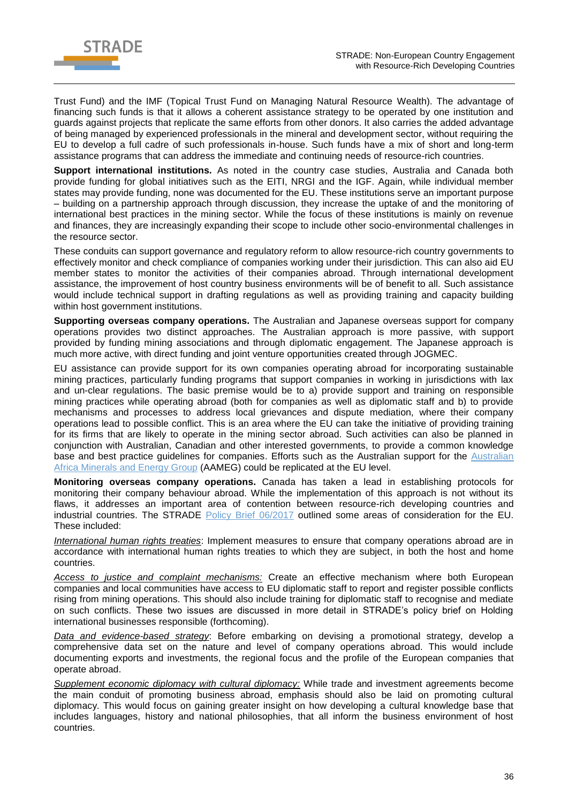

Trust Fund) and the IMF (Topical Trust Fund on Managing Natural Resource Wealth). The advantage of financing such funds is that it allows a coherent assistance strategy to be operated by one institution and guards against projects that replicate the same efforts from other donors. It also carries the added advantage of being managed by experienced professionals in the mineral and development sector, without requiring the EU to develop a full cadre of such professionals in-house. Such funds have a mix of short and long-term assistance programs that can address the immediate and continuing needs of resource-rich countries.

**Support international institutions.** As noted in the country case studies, Australia and Canada both provide funding for global initiatives such as the EITI, NRGI and the IGF. Again, while individual member states may provide funding, none was documented for the EU. These institutions serve an important purpose – building on a partnership approach through discussion, they increase the uptake of and the monitoring of international best practices in the mining sector. While the focus of these institutions is mainly on revenue and finances, they are increasingly expanding their scope to include other socio-environmental challenges in the resource sector.

These conduits can support governance and regulatory reform to allow resource-rich country governments to effectively monitor and check compliance of companies working under their jurisdiction. This can also aid EU member states to monitor the activities of their companies abroad. Through international development assistance, the improvement of host country business environments will be of benefit to all. Such assistance would include technical support in drafting regulations as well as providing training and capacity building within host government institutions.

**Supporting overseas company operations.** The Australian and Japanese overseas support for company operations provides two distinct approaches. The Australian approach is more passive, with support provided by funding mining associations and through diplomatic engagement. The Japanese approach is much more active, with direct funding and joint venture opportunities created through JOGMEC.

EU assistance can provide support for its own companies operating abroad for incorporating sustainable mining practices, particularly funding programs that support companies in working in jurisdictions with lax and un-clear regulations. The basic premise would be to a) provide support and training on responsible mining practices while operating abroad (both for companies as well as diplomatic staff and b) to provide mechanisms and processes to address local grievances and dispute mediation, where their company operations lead to possible conflict. This is an area where the EU can take the initiative of providing training for its firms that are likely to operate in the mining sector abroad. Such activities can also be planned in conjunction with Australian, Canadian and other interested governments, to provide a common knowledge base and best practice guidelines for companies. Efforts such as the Australian support for the [Australian](https://aameg.org/)  [Africa Minerals and Energy Group](https://aameg.org/) (AAMEG) could be replicated at the EU level.

**Monitoring overseas company operations.** Canada has taken a lead in establishing protocols for monitoring their company behaviour abroad. While the implementation of this approach is not without its flaws, it addresses an important area of contention between resource-rich developing countries and industrial countries. The STRADE [Policy Brief 06/2017](http://stradeproject.eu/fileadmin/user_upload/pdf/STRADE_PB06-2017_D2-9_SupportMinSectorAbroad-SpaceForEU_May2017_FINAL.pdf) outlined some areas of consideration for the EU. These included:

*International human rights treaties*: Implement measures to ensure that company operations abroad are in accordance with international human rights treaties to which they are subject, in both the host and home countries.

*Access to justice and complaint mechanisms:* Create an effective mechanism where both European companies and local communities have access to EU diplomatic staff to report and register possible conflicts rising from mining operations. This should also include training for diplomatic staff to recognise and mediate on such conflicts. These two issues are discussed in more detail in STRADE's policy brief on Holding international businesses responsible (forthcoming).

*Data and evidence-based strategy*: Before embarking on devising a promotional strategy, develop a comprehensive data set on the nature and level of company operations abroad. This would include documenting exports and investments, the regional focus and the profile of the European companies that operate abroad.

*Supplement economic diplomacy with cultural diplomacy:* While trade and investment agreements become the main conduit of promoting business abroad, emphasis should also be laid on promoting cultural diplomacy. This would focus on gaining greater insight on how developing a cultural knowledge base that includes languages, history and national philosophies, that all inform the business environment of host countries.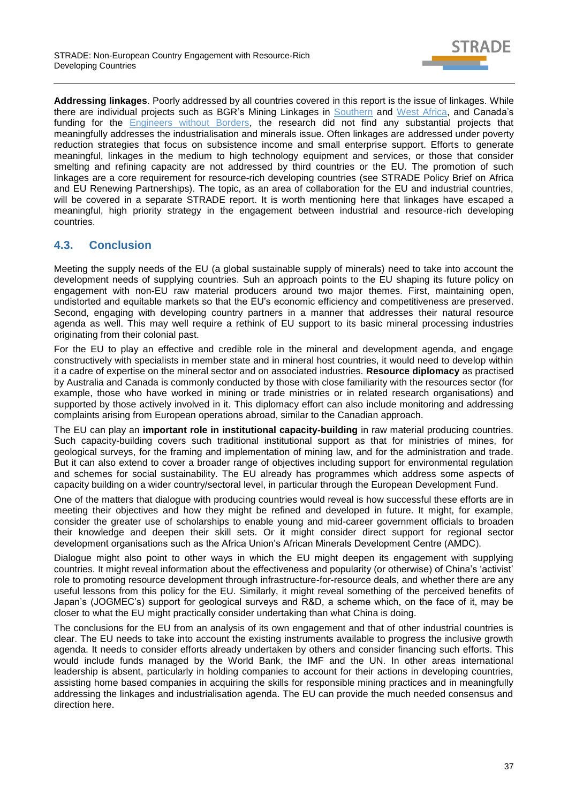

**Addressing linkages**. Poorly addressed by all countries covered in this report is the issue of linkages. While there are individual projects such as BGR's Mining Linkages in [Southern](https://www.bgr.bund.de/DE/Themen/Zusammenarbeit/TechnZusammenarbeit/Downloads/Southern-African-mining-sector-linkages.html) and [West Africa,](https://www.bmz.de/rue/includes/downloads/BGR__2017__Local_procurement_in_West_Africa__Executive_Summary_.pdf) and Canada's funding for the [Engineers without Borders,](https://www.ewb.ca/en/) the research did not find any substantial projects that meaningfully addresses the industrialisation and minerals issue. Often linkages are addressed under poverty reduction strategies that focus on subsistence income and small enterprise support. Efforts to generate meaningful, linkages in the medium to high technology equipment and services, or those that consider smelting and refining capacity are not addressed by third countries or the EU. The promotion of such linkages are a core requirement for resource-rich developing countries (see STRADE Policy Brief on Africa and EU Renewing Partnerships). The topic, as an area of collaboration for the EU and industrial countries, will be covered in a separate STRADE report. It is worth mentioning here that linkages have escaped a meaningful, high priority strategy in the engagement between industrial and resource-rich developing countries.

## <span id="page-36-0"></span>**4.3. Conclusion**

Meeting the supply needs of the EU (a global sustainable supply of minerals) need to take into account the development needs of supplying countries. Suh an approach points to the EU shaping its future policy on engagement with non-EU raw material producers around two major themes. First, maintaining open, undistorted and equitable markets so that the EU's economic efficiency and competitiveness are preserved. Second, engaging with developing country partners in a manner that addresses their natural resource agenda as well. This may well require a rethink of EU support to its basic mineral processing industries originating from their colonial past.

For the EU to play an effective and credible role in the mineral and development agenda, and engage constructively with specialists in member state and in mineral host countries, it would need to develop within it a cadre of expertise on the mineral sector and on associated industries. **Resource diplomacy** as practised by Australia and Canada is commonly conducted by those with close familiarity with the resources sector (for example, those who have worked in mining or trade ministries or in related research organisations) and supported by those actively involved in it. This diplomacy effort can also include monitoring and addressing complaints arising from European operations abroad, similar to the Canadian approach.

The EU can play an **important role in institutional capacity-building** in raw material producing countries. Such capacity-building covers such traditional institutional support as that for ministries of mines, for geological surveys, for the framing and implementation of mining law, and for the administration and trade. But it can also extend to cover a broader range of objectives including support for environmental regulation and schemes for social sustainability. The EU already has programmes which address some aspects of capacity building on a wider country/sectoral level, in particular through the European Development Fund.

One of the matters that dialogue with producing countries would reveal is how successful these efforts are in meeting their objectives and how they might be refined and developed in future. It might, for example, consider the greater use of scholarships to enable young and mid-career government officials to broaden their knowledge and deepen their skill sets. Or it might consider direct support for regional sector development organisations such as the Africa Union's African Minerals Development Centre (AMDC).

Dialogue might also point to other ways in which the EU might deepen its engagement with supplying countries. It might reveal information about the effectiveness and popularity (or otherwise) of China's 'activist' role to promoting resource development through infrastructure-for-resource deals, and whether there are any useful lessons from this policy for the EU. Similarly, it might reveal something of the perceived benefits of Japan's (JOGMEC's) support for geological surveys and R&D, a scheme which, on the face of it, may be closer to what the EU might practically consider undertaking than what China is doing.

The conclusions for the EU from an analysis of its own engagement and that of other industrial countries is clear. The EU needs to take into account the existing instruments available to progress the inclusive growth agenda. It needs to consider efforts already undertaken by others and consider financing such efforts. This would include funds managed by the World Bank, the IMF and the UN. In other areas international leadership is absent, particularly in holding companies to account for their actions in developing countries, assisting home based companies in acquiring the skills for responsible mining practices and in meaningfully addressing the linkages and industrialisation agenda. The EU can provide the much needed consensus and direction here.